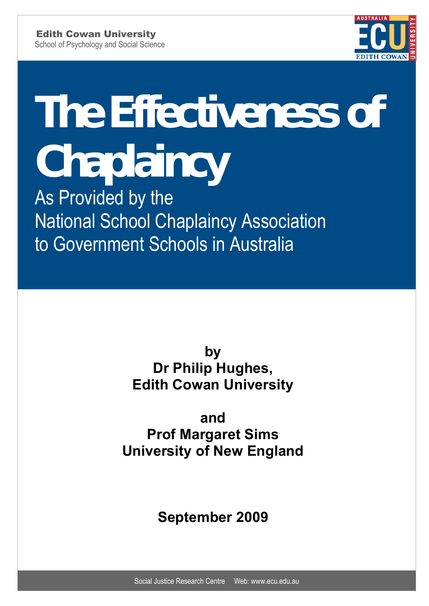

# **The Effectiveness of Chaplaincy Chaplaincy The Effectiveness of**

**As Provided by the National School Chaplaincy National School Chaplaincy Association** As Provided by the to Government Schools in Australia

> by **Edith Cowan University Dr Philip Hughes,**

Dr Philip Hughes

**and Prof Margaret Sims University of New England** 

**September 2009**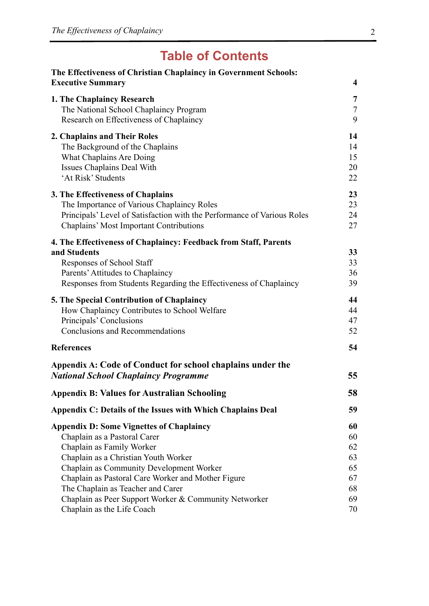# **Table of Contents**

| The Effectiveness of Christian Chaplaincy in Government Schools:<br><b>Executive Summary</b>                                                                                                                        | 4                          |
|---------------------------------------------------------------------------------------------------------------------------------------------------------------------------------------------------------------------|----------------------------|
| 1. The Chaplaincy Research<br>The National School Chaplaincy Program<br>Research on Effectiveness of Chaplaincy                                                                                                     | 7<br>$\overline{7}$<br>9   |
| 2. Chaplains and Their Roles<br>The Background of the Chaplains<br>What Chaplains Are Doing<br>Issues Chaplains Deal With<br>'At Risk' Students                                                                     | 14<br>14<br>15<br>20<br>22 |
| <b>3. The Effectiveness of Chaplains</b><br>The Importance of Various Chaplaincy Roles<br>Principals' Level of Satisfaction with the Performance of Various Roles<br><b>Chaplains' Most Important Contributions</b> | 23<br>23<br>24<br>27       |
| 4. The Effectiveness of Chaplaincy: Feedback from Staff, Parents                                                                                                                                                    |                            |
| and Students<br>Responses of School Staff<br>Parents' Attitudes to Chaplaincy<br>Responses from Students Regarding the Effectiveness of Chaplaincy                                                                  | 33<br>33<br>36<br>39       |
| <b>5. The Special Contribution of Chaplaincy</b><br>How Chaplaincy Contributes to School Welfare<br>Principals' Conclusions<br><b>Conclusions and Recommendations</b>                                               | 44<br>44<br>47<br>52       |
| <b>References</b>                                                                                                                                                                                                   | 54                         |
| Appendix A: Code of Conduct for school chaplains under the<br><b>National School Chaplaincy Programme</b>                                                                                                           | 55                         |
| <b>Appendix B: Values for Australian Schooling</b>                                                                                                                                                                  | 58                         |
| Appendix C: Details of the Issues with Which Chaplains Deal                                                                                                                                                         | 59                         |
| <b>Appendix D: Some Vignettes of Chaplaincy</b>                                                                                                                                                                     | 60                         |
| Chaplain as a Pastoral Carer                                                                                                                                                                                        | 60                         |
| Chaplain as Family Worker                                                                                                                                                                                           | 62                         |
| Chaplain as a Christian Youth Worker                                                                                                                                                                                | 63                         |
| Chaplain as Community Development Worker                                                                                                                                                                            | 65                         |
| Chaplain as Pastoral Care Worker and Mother Figure                                                                                                                                                                  | 67                         |
| The Chaplain as Teacher and Carer                                                                                                                                                                                   | 68                         |
| Chaplain as Peer Support Worker & Community Networker                                                                                                                                                               | 69                         |
| Chaplain as the Life Coach                                                                                                                                                                                          | 70                         |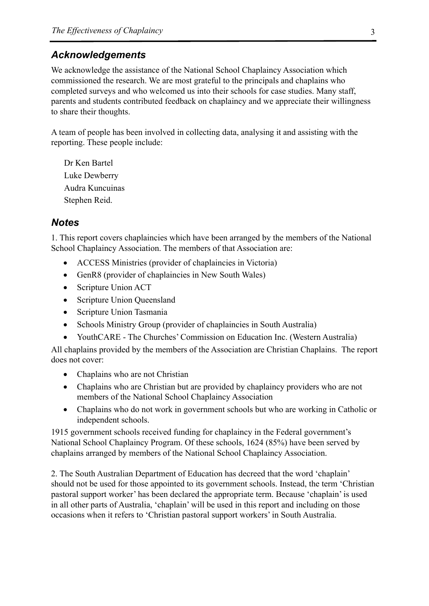## *Acknowledgements*

We acknowledge the assistance of the National School Chaplaincy Association which commissioned the research. We are most grateful to the principals and chaplains who completed surveys and who welcomed us into their schools for case studies. Many staff, parents and students contributed feedback on chaplaincy and we appreciate their willingness to share their thoughts.

A team of people has been involved in collecting data, analysing it and assisting with the reporting. These people include:

Dr Ken Bartel Luke Dewberry Audra Kuncuinas Stephen Reid.

#### *Notes*

1. This report covers chaplaincies which have been arranged by the members of the National School Chaplaincy Association. The members of that Association are:

- ACCESS Ministries (provider of chaplaincies in Victoria)
- GenR8 (provider of chaplaincies in New South Wales)
- Scripture Union ACT
- Scripture Union Queensland
- Scripture Union Tasmania
- Schools Ministry Group (provider of chaplaincies in South Australia)
- YouthCARE The Churches' Commission on Education Inc. (Western Australia)

All chaplains provided by the members of the Association are Christian Chaplains. The report does not cover:

- Chaplains who are not Christian
- Chaplains who are Christian but are provided by chaplaincy providers who are not members of the National School Chaplaincy Association
- Chaplains who do not work in government schools but who are working in Catholic or independent schools.

1915 government schools received funding for chaplaincy in the Federal government's National School Chaplaincy Program. Of these schools, 1624 (85%) have been served by chaplains arranged by members of the National School Chaplaincy Association.

2. The South Australian Department of Education has decreed that the word 'chaplain' should not be used for those appointed to its government schools. Instead, the term 'Christian pastoral support worker' has been declared the appropriate term. Because 'chaplain' is used in all other parts of Australia, 'chaplain' will be used in this report and including on those occasions when it refers to 'Christian pastoral support workers' in South Australia.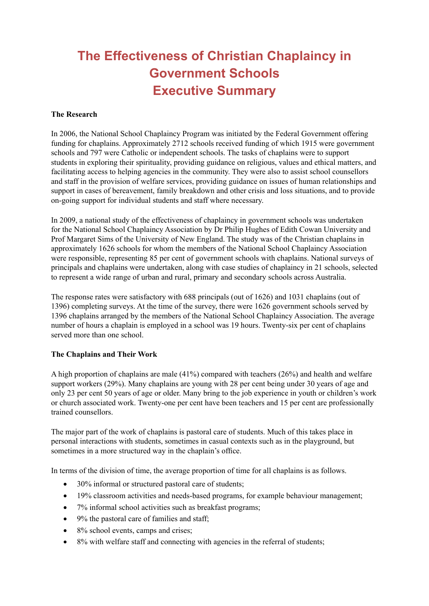# **The Effectiveness of Christian Chaplaincy in Government Schools Executive Summary**

#### **The Research**

In 2006, the National School Chaplaincy Program was initiated by the Federal Government offering funding for chaplains. Approximately 2712 schools received funding of which 1915 were government schools and 797 were Catholic or independent schools. The tasks of chaplains were to support students in exploring their spirituality, providing guidance on religious, values and ethical matters, and facilitating access to helping agencies in the community. They were also to assist school counsellors and staff in the provision of welfare services, providing guidance on issues of human relationships and support in cases of bereavement, family breakdown and other crisis and loss situations, and to provide on-going support for individual students and staff where necessary.

In 2009, a national study of the effectiveness of chaplaincy in government schools was undertaken for the National School Chaplaincy Association by Dr Philip Hughes of Edith Cowan University and Prof Margaret Sims of the University of New England. The study was of the Christian chaplains in approximately 1626 schools for whom the members of the National School Chaplaincy Association were responsible, representing 85 per cent of government schools with chaplains. National surveys of principals and chaplains were undertaken, along with case studies of chaplaincy in 21 schools, selected to represent a wide range of urban and rural, primary and secondary schools across Australia.

The response rates were satisfactory with 688 principals (out of 1626) and 1031 chaplains (out of 1396) completing surveys. At the time of the survey, there were 1626 government schools served by 1396 chaplains arranged by the members of the National School Chaplaincy Association. The average number of hours a chaplain is employed in a school was 19 hours. Twenty-six per cent of chaplains served more than one school.

#### **The Chaplains and Their Work**

A high proportion of chaplains are male (41%) compared with teachers (26%) and health and welfare support workers (29%). Many chaplains are young with 28 per cent being under 30 years of age and only 23 per cent 50 years of age or older. Many bring to the job experience in youth or children's work or church associated work. Twenty-one per cent have been teachers and 15 per cent are professionally trained counsellors.

The major part of the work of chaplains is pastoral care of students. Much of this takes place in personal interactions with students, sometimes in casual contexts such as in the playground, but sometimes in a more structured way in the chaplain's office.

In terms of the division of time, the average proportion of time for all chaplains is as follows.

- 30% informal or structured pastoral care of students;
- 19% classroom activities and needs-based programs, for example behaviour management;
- 7% informal school activities such as breakfast programs;
- $\bullet$  9% the pastoral care of families and staff;
- 8% school events, camps and crises;
- $\bullet$  8% with welfare staff and connecting with agencies in the referral of students;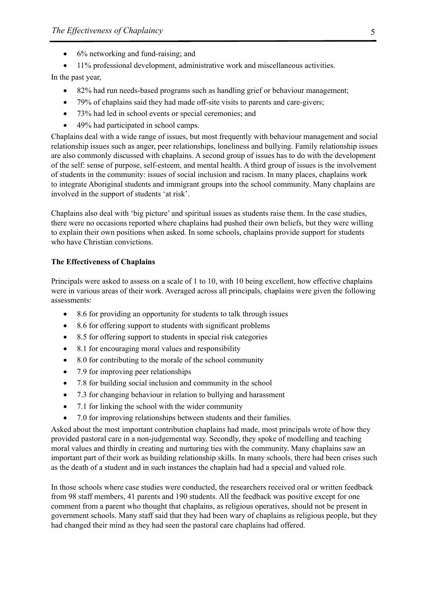- 6% networking and fund-raising; and
- 11% professional development, administrative work and miscellaneous activities.

In the past year,

- 82% had run needs-based programs such as handling grief or behaviour management;
- 79% of chaplains said they had made off-site visits to parents and care-givers;
- 73% had led in school events or special ceremonies; and
- 49% had participated in school camps.

Chaplains deal with a wide range of issues, but most frequently with behaviour management and social relationship issues such as anger, peer relationships, loneliness and bullying. Family relationship issues are also commonly discussed with chaplains. A second group of issues has to do with the development of the self: sense of purpose, self-esteem, and mental health. A third group of issues is the involvement of students in the community: issues of social inclusion and racism. In many places, chaplains work to integrate Aboriginal students and immigrant groups into the school community. Many chaplains are involved in the support of students 'at risk'.

Chaplains also deal with 'big picture' and spiritual issues as students raise them. In the case studies, there were no occasions reported where chaplains had pushed their own beliefs, but they were willing to explain their own positions when asked. In some schools, chaplains provide support for students who have Christian convictions.

#### **The Effectiveness of Chaplains**

Principals were asked to assess on a scale of 1 to 10, with 10 being excellent, how effective chaplains were in various areas of their work. Averaged across all principals, chaplains were given the following assessments:

- 8.6 for providing an opportunity for students to talk through issues
- 8.6 for offering support to students with significant problems
- 8.5 for offering support to students in special risk categories
- 8.1 for encouraging moral values and responsibility
- $\bullet$  8.0 for contributing to the morale of the school community
- 7.9 for improving peer relationships
- 7.8 for building social inclusion and community in the school
- 7.3 for changing behaviour in relation to bullying and harassment
- 7.1 for linking the school with the wider community
- 7.0 for improving relationships between students and their families.

Asked about the most important contribution chaplains had made, most principals wrote of how they provided pastoral care in a non-judgemental way. Secondly, they spoke of modelling and teaching moral values and thirdly in creating and nurturing ties with the community. Many chaplains saw an important part of their work as building relationship skills. In many schools, there had been crises such as the death of a student and in such instances the chaplain had had a special and valued role.

In those schools where case studies were conducted, the researchers received oral or written feedback from 98 staff members, 41 parents and 190 students. All the feedback was positive except for one comment from a parent who thought that chaplains, as religious operatives, should not be present in government schools. Many staff said that they had been wary of chaplains as religious people, but they had changed their mind as they had seen the pastoral care chaplains had offered.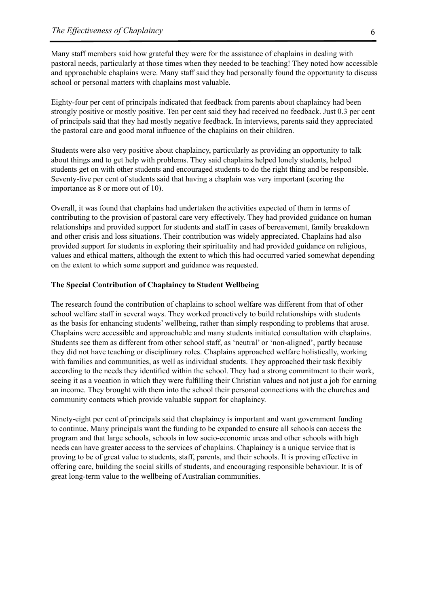Many staff members said how grateful they were for the assistance of chaplains in dealing with pastoral needs, particularly at those times when they needed to be teaching! They noted how accessible and approachable chaplains were. Many staff said they had personally found the opportunity to discuss school or personal matters with chaplains most valuable.

Eighty-four per cent of principals indicated that feedback from parents about chaplaincy had been strongly positive or mostly positive. Ten per cent said they had received no feedback. Just 0.3 per cent of principals said that they had mostly negative feedback. In interviews, parents said they appreciated the pastoral care and good moral influence of the chaplains on their children.

Students were also very positive about chaplaincy, particularly as providing an opportunity to talk about things and to get help with problems. They said chaplains helped lonely students, helped students get on with other students and encouraged students to do the right thing and be responsible. Seventy-five per cent of students said that having a chaplain was very important (scoring the importance as 8 or more out of 10).

Overall, it was found that chaplains had undertaken the activities expected of them in terms of contributing to the provision of pastoral care very effectively. They had provided guidance on human relationships and provided support for students and staff in cases of bereavement, family breakdown and other crisis and loss situations. Their contribution was widely appreciated. Chaplains had also provided support for students in exploring their spirituality and had provided guidance on religious, values and ethical matters, although the extent to which this had occurred varied somewhat depending on the extent to which some support and guidance was requested.

#### **The Special Contribution of Chaplaincy to Student Wellbeing**

The research found the contribution of chaplains to school welfare was different from that of other school welfare staff in several ways. They worked proactively to build relationships with students as the basis for enhancing students' wellbeing, rather than simply responding to problems that arose. Chaplains were accessible and approachable and many students initiated consultation with chaplains. Students see them as different from other school staff, as 'neutral' or 'non-aligned', partly because they did not have teaching or disciplinary roles. Chaplains approached welfare holistically, working with families and communities, as well as individual students. They approached their task flexibly according to the needs they identified within the school. They had a strong commitment to their work, seeing it as a vocation in which they were fulfilling their Christian values and not just a job for earning an income. They brought with them into the school their personal connections with the churches and community contacts which provide valuable support for chaplaincy.

Ninety-eight per cent of principals said that chaplaincy is important and want government funding to continue. Many principals want the funding to be expanded to ensure all schools can access the program and that large schools, schools in low socio-economic areas and other schools with high needs can have greater access to the services of chaplains. Chaplaincy is a unique service that is proving to be of great value to students, staff, parents, and their schools. It is proving effective in offering care, building the social skills of students, and encouraging responsible behaviour. It is of great long-term value to the wellbeing of Australian communities.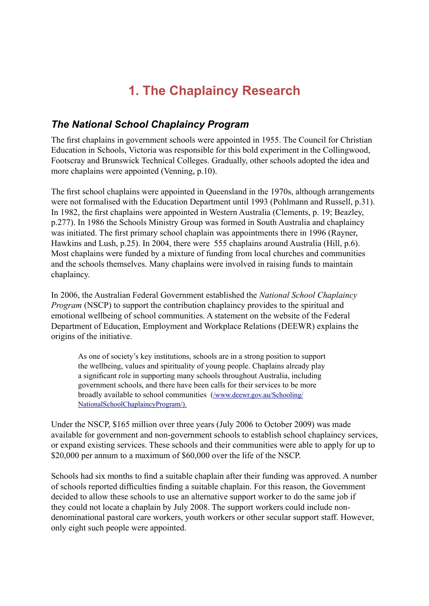# **1. The Chaplaincy Research**

# *The National School Chaplaincy Program*

The first chaplains in government schools were appointed in 1955. The Council for Christian Education in Schools, Victoria was responsible for this bold experiment in the Collingwood, Footscray and Brunswick Technical Colleges. Gradually, other schools adopted the idea and more chaplains were appointed (Venning, p.10).

The first school chaplains were appointed in Queensland in the 1970s, although arrangements were not formalised with the Education Department until 1993 (Pohlmann and Russell, p.31). In 1982, the first chaplains were appointed in Western Australia (Clements, p. 19; Beazley, p.277). In 1986 the Schools Ministry Group was formed in South Australia and chaplaincy was initiated. The first primary school chaplain was appointments there in 1996 (Rayner, Hawkins and Lush, p.25). In 2004, there were 555 chaplains around Australia (Hill, p.6). Most chaplains were funded by a mixture of funding from local churches and communities and the schools themselves. Many chaplains were involved in raising funds to maintain chaplaincy.

In 2006, the Australian Federal Government established the *National School Chaplaincy Program* (NSCP) to support the contribution chaplaincy provides to the spiritual and emotional wellbeing of school communities. A statement on the website of the Federal Department of Education, Employment and Workplace Relations (DEEWR) explains the origins of the initiative.

As one of society's key institutions, schools are in a strong position to support the wellbeing, values and spirituality of young people. Chaplains already play a significant role in supporting many schools throughout Australia, including government schools, and there have been calls for their services to be more broadly available to school communities (/www.deewr.gov.au/Schooling/ NationalSchoolChaplaincyProgram/).

Under the NSCP, \$165 million over three years (July 2006 to October 2009) was made available for government and non-government schools to establish school chaplaincy services, or expand existing services. These schools and their communities were able to apply for up to \$20,000 per annum to a maximum of \$60,000 over the life of the NSCP.

Schools had six months to find a suitable chaplain after their funding was approved. A number of schools reported difficulties finding a suitable chaplain. For this reason, the Government decided to allow these schools to use an alternative support worker to do the same job if they could not locate a chaplain by July 2008. The support workers could include nondenominational pastoral care workers, youth workers or other secular support staff. However, only eight such people were appointed.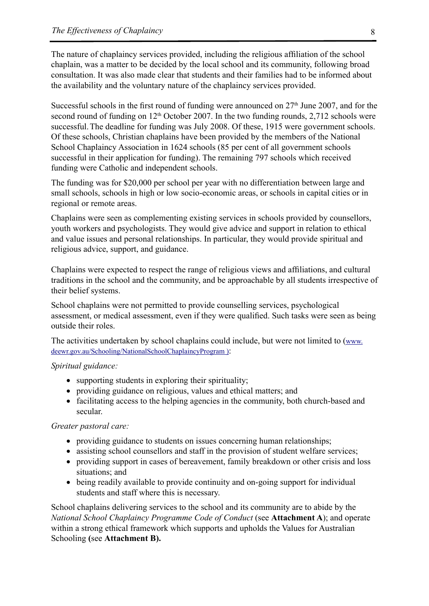The nature of chaplaincy services provided, including the religious affiliation of the school chaplain, was a matter to be decided by the local school and its community, following broad consultation. It was also made clear that students and their families had to be informed about the availability and the voluntary nature of the chaplaincy services provided.

Successful schools in the first round of funding were announced on  $27<sup>th</sup>$  June 2007, and for the second round of funding on  $12<sup>th</sup>$  October 2007. In the two funding rounds, 2,712 schools were successful.The deadline for funding was July 2008. Of these, 1915 were government schools. Of these schools, Christian chaplains have been provided by the members of the National School Chaplaincy Association in 1624 schools (85 per cent of all government schools successful in their application for funding). The remaining 797 schools which received funding were Catholic and independent schools.

The funding was for \$20,000 per school per year with no differentiation between large and small schools, schools in high or low socio-economic areas, or schools in capital cities or in regional or remote areas.

Chaplains were seen as complementing existing services in schools provided by counsellors, youth workers and psychologists. They would give advice and support in relation to ethical and value issues and personal relationships. In particular, they would provide spiritual and religious advice, support, and guidance.

Chaplains were expected to respect the range of religious views and affiliations, and cultural traditions in the school and the community, and be approachable by all students irrespective of their belief systems.

School chaplains were not permitted to provide counselling services, psychological assessment, or medical assessment, even if they were qualified. Such tasks were seen as being outside their roles.

The activities undertaken by school chaplains could include, but were not limited to (www. deewr.gov.au/Schooling/NationalSchoolChaplaincyProgram ):

#### *Spiritual guidance:*

- supporting students in exploring their spirituality;
- providing guidance on religious, values and ethical matters; and
- facilitating access to the helping agencies in the community, both church-based and secular.

#### *Greater pastoral care:*

- providing guidance to students on issues concerning human relationships;
- assisting school counsellors and staff in the provision of student welfare services;
- providing support in cases of bereavement, family breakdown or other crisis and loss situations; and
- being readily available to provide continuity and on-going support for individual students and staff where this is necessary.

School chaplains delivering services to the school and its community are to abide by the *National School Chaplaincy Programme Code of Conduct* (see **Attachment A**); and operate within a strong ethical framework which supports and upholds the Values for Australian Schooling **(**see **Attachment B).**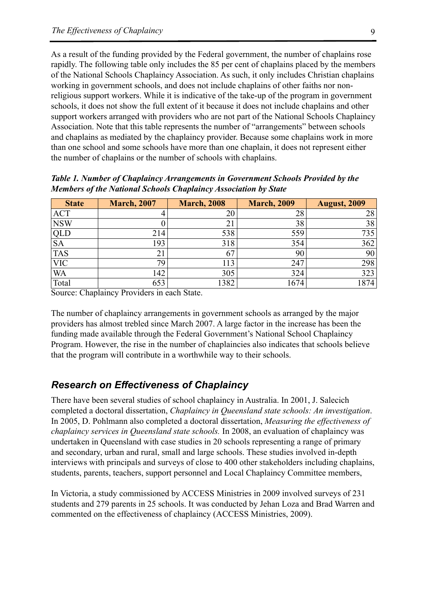As a result of the funding provided by the Federal government, the number of chaplains rose rapidly. The following table only includes the 85 per cent of chaplains placed by the members of the National Schools Chaplaincy Association. As such, it only includes Christian chaplains working in government schools, and does not include chaplains of other faiths nor nonreligious support workers. While it is indicative of the take-up of the program in government schools, it does not show the full extent of it because it does not include chaplains and other support workers arranged with providers who are not part of the National Schools Chaplaincy Association. Note that this table represents the number of "arrangements" between schools and chaplains as mediated by the chaplaincy provider. Because some chaplains work in more than one school and some schools have more than one chaplain, it does not represent either the number of chaplains or the number of schools with chaplains.

| <b>State</b> | <b>March, 2007</b> | <b>March, 2008</b> | <b>March, 2009</b> | <b>August, 2009</b> |
|--------------|--------------------|--------------------|--------------------|---------------------|
| <b>ACT</b>   |                    |                    | 28                 | 28                  |
| <b>NSW</b>   |                    | ∠⊥                 | 38                 | 38                  |
| QLD          | 214                | 538                | 559                | 735                 |
| <b>SA</b>    | 193                | 318                | 354                | 362                 |
| <b>TAS</b>   | $\angle$           | 67                 | 90                 | 90                  |
| <b>VIC</b>   | 79                 | 113                | 247                | 298                 |
| <b>WA</b>    | 142                | 305                | 324                | 323                 |
| Total        | 653                | 382                | 1674               | 874                 |

*Table 1. Number of Chaplaincy Arrangements in Government Schools Provided by the Members of the National Schools Chaplaincy Association by State*

Source: Chaplaincy Providers in each State.

The number of chaplaincy arrangements in government schools as arranged by the major providers has almost trebled since March 2007. A large factor in the increase has been the funding made available through the Federal Government's National School Chaplaincy Program. However, the rise in the number of chaplaincies also indicates that schools believe that the program will contribute in a worthwhile way to their schools.

## *Research on Effectiveness of Chaplaincy*

There have been several studies of school chaplaincy in Australia. In 2001, J. Salecich completed a doctoral dissertation, *Chaplaincy in Queensland state schools: An investigation*. In 2005, D. Pohlmann also completed a doctoral dissertation, *Measuring the effectiveness of chaplaincy services in Queensland state schools.* In 2008, an evaluation of chaplaincy was undertaken in Queensland with case studies in 20 schools representing a range of primary and secondary, urban and rural, small and large schools. These studies involved in-depth interviews with principals and surveys of close to 400 other stakeholders including chaplains, students, parents, teachers, support personnel and Local Chaplaincy Committee members,

In Victoria, a study commissioned by ACCESS Ministries in 2009 involved surveys of 231 students and 279 parents in 25 schools. It was conducted by Jehan Loza and Brad Warren and commented on the effectiveness of chaplaincy (ACCESS Ministries, 2009).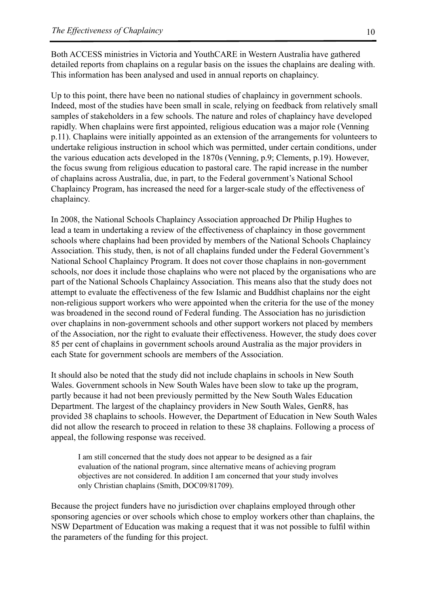Both ACCESS ministries in Victoria and YouthCARE in Western Australia have gathered detailed reports from chaplains on a regular basis on the issues the chaplains are dealing with. This information has been analysed and used in annual reports on chaplaincy.

Up to this point, there have been no national studies of chaplaincy in government schools. Indeed, most of the studies have been small in scale, relying on feedback from relatively small samples of stakeholders in a few schools. The nature and roles of chaplaincy have developed rapidly. When chaplains were first appointed, religious education was a major role (Venning p.11). Chaplains were initially appointed as an extension of the arrangements for volunteers to undertake religious instruction in school which was permitted, under certain conditions, under the various education acts developed in the 1870s (Venning, p.9; Clements, p.19). However, the focus swung from religious education to pastoral care. The rapid increase in the number of chaplains across Australia, due, in part, to the Federal government's National School Chaplaincy Program, has increased the need for a larger-scale study of the effectiveness of chaplaincy.

In 2008, the National Schools Chaplaincy Association approached Dr Philip Hughes to lead a team in undertaking a review of the effectiveness of chaplaincy in those government schools where chaplains had been provided by members of the National Schools Chaplaincy Association. This study, then, is not of all chaplains funded under the Federal Government's National School Chaplaincy Program. It does not cover those chaplains in non-government schools, nor does it include those chaplains who were not placed by the organisations who are part of the National Schools Chaplaincy Association. This means also that the study does not attempt to evaluate the effectiveness of the few Islamic and Buddhist chaplains nor the eight non-religious support workers who were appointed when the criteria for the use of the money was broadened in the second round of Federal funding. The Association has no jurisdiction over chaplains in non-government schools and other support workers not placed by members of the Association, nor the right to evaluate their effectiveness. However, the study does cover 85 per cent of chaplains in government schools around Australia as the major providers in each State for government schools are members of the Association.

It should also be noted that the study did not include chaplains in schools in New South Wales. Government schools in New South Wales have been slow to take up the program, partly because it had not been previously permitted by the New South Wales Education Department. The largest of the chaplaincy providers in New South Wales, GenR8, has provided 38 chaplains to schools. However, the Department of Education in New South Wales did not allow the research to proceed in relation to these 38 chaplains. Following a process of appeal, the following response was received.

I am still concerned that the study does not appear to be designed as a fair evaluation of the national program, since alternative means of achieving program objectives are not considered. In addition I am concerned that your study involves only Christian chaplains (Smith, DOC09/81709).

Because the project funders have no jurisdiction over chaplains employed through other sponsoring agencies or over schools which chose to employ workers other than chaplains, the NSW Department of Education was making a request that it was not possible to fulfil within the parameters of the funding for this project.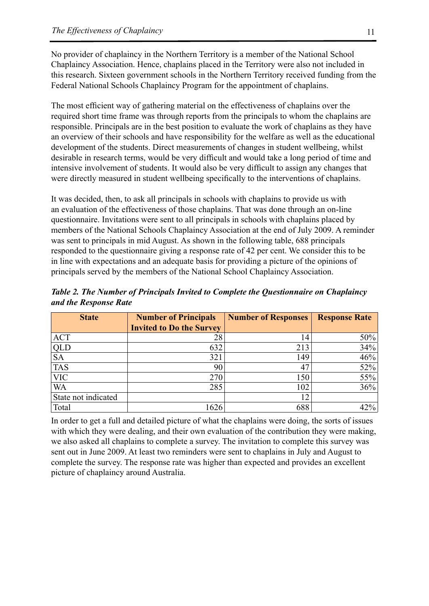No provider of chaplaincy in the Northern Territory is a member of the National School Chaplaincy Association. Hence, chaplains placed in the Territory were also not included in this research. Sixteen government schools in the Northern Territory received funding from the Federal National Schools Chaplaincy Program for the appointment of chaplains.

The most efficient way of gathering material on the effectiveness of chaplains over the required short time frame was through reports from the principals to whom the chaplains are responsible. Principals are in the best position to evaluate the work of chaplains as they have an overview of their schools and have responsibility for the welfare as well as the educational development of the students. Direct measurements of changes in student wellbeing, whilst desirable in research terms, would be very difficult and would take a long period of time and intensive involvement of students. It would also be very difficult to assign any changes that were directly measured in student wellbeing specifically to the interventions of chaplains.

It was decided, then, to ask all principals in schools with chaplains to provide us with an evaluation of the effectiveness of those chaplains. That was done through an on-line questionnaire. Invitations were sent to all principals in schools with chaplains placed by members of the National Schools Chaplaincy Association at the end of July 2009. A reminder was sent to principals in mid August. As shown in the following table, 688 principals responded to the questionnaire giving a response rate of 42 per cent. We consider this to be in line with expectations and an adequate basis for providing a picture of the opinions of principals served by the members of the National School Chaplaincy Association.

*Table 2. The Number of Principals Invited to Complete the Questionnaire on Chaplaincy and the Response Rate* 

| <b>State</b>        | <b>Number of Principals</b>     | <b>Number of Responses</b> | <b>Response Rate</b> |
|---------------------|---------------------------------|----------------------------|----------------------|
|                     | <b>Invited to Do the Survey</b> |                            |                      |
| <b>ACT</b>          | 28                              | 14                         | 50%                  |
| QLD                 | 632                             | 213                        | 34%                  |
| <b>SA</b>           | 321                             | 149                        | 46%                  |
| <b>TAS</b>          | 90                              | 47                         | 52%                  |
| <b>VIC</b>          | 270                             | 150                        | 55%                  |
| <b>WA</b>           | 285                             | 102                        | 36%                  |
| State not indicated |                                 | 12                         |                      |
| Total               | 1626                            | 688                        | 42%                  |

In order to get a full and detailed picture of what the chaplains were doing, the sorts of issues with which they were dealing, and their own evaluation of the contribution they were making, we also asked all chaplains to complete a survey. The invitation to complete this survey was sent out in June 2009. At least two reminders were sent to chaplains in July and August to complete the survey. The response rate was higher than expected and provides an excellent picture of chaplaincy around Australia.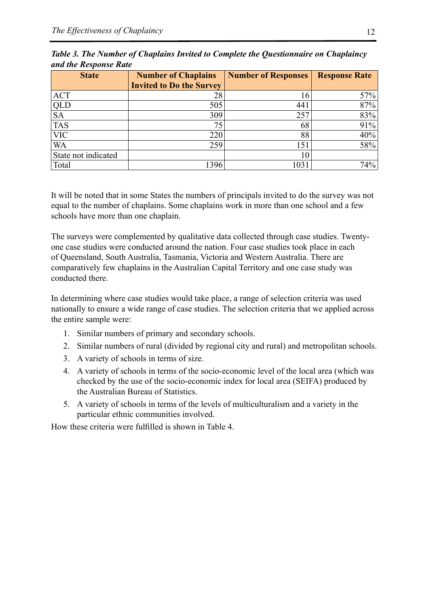| <b>State</b>        | <b>Number of Chaplains</b>      | <b>Number of Responses</b> | <b>Response Rate</b> |
|---------------------|---------------------------------|----------------------------|----------------------|
|                     | <b>Invited to Do the Survey</b> |                            |                      |
| <b>ACT</b>          | 28                              | .6                         | 57%                  |
| QLD                 | 505                             | 441                        | 87%                  |
| <b>SA</b>           | 309                             | 257                        | 83%                  |
| <b>TAS</b>          | 75                              | 68                         | 91%                  |
| <b>VIC</b>          | 220                             | 88                         | 40%                  |
| WA                  | 259                             | 151                        | 58%                  |
| State not indicated |                                 | 10                         |                      |
| Total               | 1396                            | 1031                       | 74%                  |

*Table 3. The Number of Chaplains Invited to Complete the Questionnaire on Chaplaincy and the Response Rate*

It will be noted that in some States the numbers of principals invited to do the survey was not equal to the number of chaplains. Some chaplains work in more than one school and a few schools have more than one chaplain.

The surveys were complemented by qualitative data collected through case studies. Twentyone case studies were conducted around the nation. Four case studies took place in each of Queensland, South Australia, Tasmania, Victoria and Western Australia. There are comparatively few chaplains in the Australian Capital Territory and one case study was conducted there.

In determining where case studies would take place, a range of selection criteria was used nationally to ensure a wide range of case studies. The selection criteria that we applied across the entire sample were:

- 1. Similar numbers of primary and secondary schools.
- 2. Similar numbers of rural (divided by regional city and rural) and metropolitan schools.
- 3. A variety of schools in terms of size.
- 4. A variety of schools in terms of the socio-economic level of the local area (which was checked by the use of the socio-economic index for local area (SEIFA) produced by the Australian Bureau of Statistics.
- 5. A variety of schools in terms of the levels of multiculturalism and a variety in the particular ethnic communities involved.

How these criteria were fulfilled is shown in Table 4.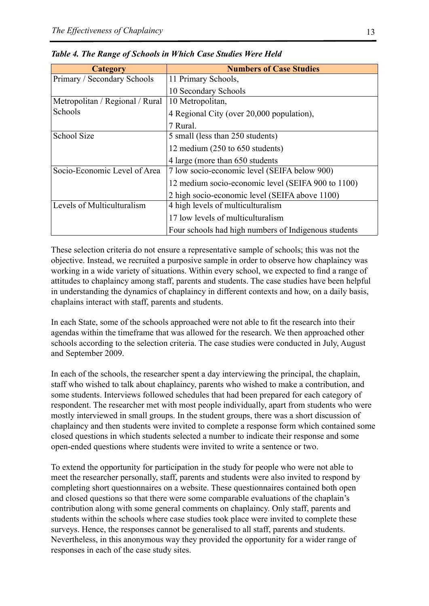| <b>Category</b>                 | <b>Numbers of Case Studies</b>                       |
|---------------------------------|------------------------------------------------------|
| Primary / Secondary Schools     | 11 Primary Schools,                                  |
|                                 | 10 Secondary Schools                                 |
| Metropolitan / Regional / Rural | 10 Metropolitan,                                     |
| Schools                         | 4 Regional City (over 20,000 population),            |
|                                 | 7 Rural.                                             |
| <b>School Size</b>              | 5 small (less than 250 students)                     |
|                                 | 12 medium (250 to 650 students)                      |
|                                 | 4 large (more than 650 students)                     |
| Socio-Economic Level of Area    | 7 low socio-economic level (SEIFA below 900)         |
|                                 | 12 medium socio-economic level (SEIFA 900 to 1100)   |
|                                 | 2 high socio-economic level (SEIFA above 1100)       |
| Levels of Multiculturalism      | 4 high levels of multiculturalism                    |
|                                 | 17 low levels of multiculturalism                    |
|                                 | Four schools had high numbers of Indigenous students |

*Table 4. The Range of Schools in Which Case Studies Were Held*

These selection criteria do not ensure a representative sample of schools; this was not the objective. Instead, we recruited a purposive sample in order to observe how chaplaincy was working in a wide variety of situations. Within every school, we expected to find a range of attitudes to chaplaincy among staff, parents and students. The case studies have been helpful in understanding the dynamics of chaplaincy in different contexts and how, on a daily basis, chaplains interact with staff, parents and students.

In each State, some of the schools approached were not able to fit the research into their agendas within the timeframe that was allowed for the research. We then approached other schools according to the selection criteria. The case studies were conducted in July, August and September 2009.

In each of the schools, the researcher spent a day interviewing the principal, the chaplain, staff who wished to talk about chaplaincy, parents who wished to make a contribution, and some students. Interviews followed schedules that had been prepared for each category of respondent. The researcher met with most people individually, apart from students who were mostly interviewed in small groups. In the student groups, there was a short discussion of chaplaincy and then students were invited to complete a response form which contained some closed questions in which students selected a number to indicate their response and some open-ended questions where students were invited to write a sentence or two.

To extend the opportunity for participation in the study for people who were not able to meet the researcher personally, staff, parents and students were also invited to respond by completing short questionnaires on a website. These questionnaires contained both open and closed questions so that there were some comparable evaluations of the chaplain's contribution along with some general comments on chaplaincy. Only staff, parents and students within the schools where case studies took place were invited to complete these surveys. Hence, the responses cannot be generalised to all staff, parents and students. Nevertheless, in this anonymous way they provided the opportunity for a wider range of responses in each of the case study sites.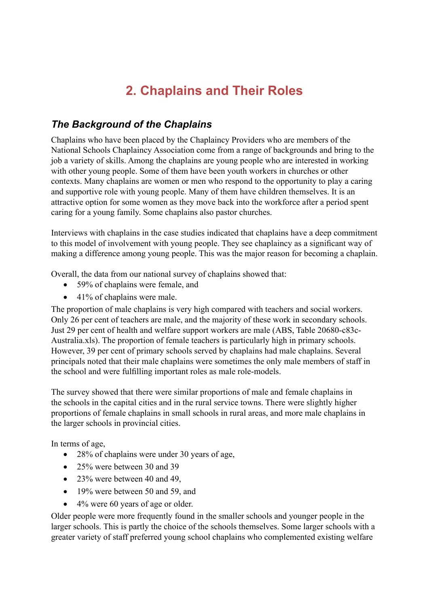# **2. Chaplains and Their Roles**

# *The Background of the Chaplains*

Chaplains who have been placed by the Chaplaincy Providers who are members of the National Schools Chaplaincy Association come from a range of backgrounds and bring to the job a variety of skills. Among the chaplains are young people who are interested in working with other young people. Some of them have been youth workers in churches or other contexts. Many chaplains are women or men who respond to the opportunity to play a caring and supportive role with young people. Many of them have children themselves. It is an attractive option for some women as they move back into the workforce after a period spent caring for a young family. Some chaplains also pastor churches.

Interviews with chaplains in the case studies indicated that chaplains have a deep commitment to this model of involvement with young people. They see chaplaincy as a significant way of making a difference among young people. This was the major reason for becoming a chaplain.

Overall, the data from our national survey of chaplains showed that:

- 59% of chaplains were female, and
- $\bullet$  41% of chaplains were male.

The proportion of male chaplains is very high compared with teachers and social workers. Only 26 per cent of teachers are male, and the majority of these work in secondary schools. Just 29 per cent of health and welfare support workers are male (ABS, Table 20680-c83c-Australia.xls). The proportion of female teachers is particularly high in primary schools. However, 39 per cent of primary schools served by chaplains had male chaplains. Several principals noted that their male chaplains were sometimes the only male members of staff in the school and were fulfilling important roles as male role-models.

The survey showed that there were similar proportions of male and female chaplains in the schools in the capital cities and in the rural service towns. There were slightly higher proportions of female chaplains in small schools in rural areas, and more male chaplains in the larger schools in provincial cities.

In terms of age,

- 28% of chaplains were under 30 years of age,
- 25% were between 30 and 39
- 23% were between 40 and 49,
- 19% were between 50 and 59, and
- 4% were 60 years of age or older.

Older people were more frequently found in the smaller schools and younger people in the larger schools. This is partly the choice of the schools themselves. Some larger schools with a greater variety of staff preferred young school chaplains who complemented existing welfare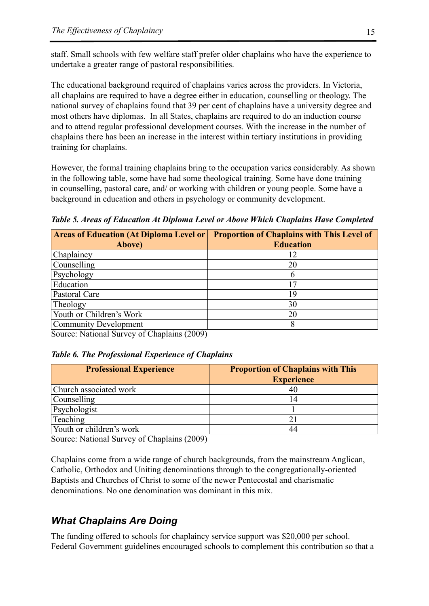staff. Small schools with few welfare staff prefer older chaplains who have the experience to undertake a greater range of pastoral responsibilities.

The educational background required of chaplains varies across the providers. In Victoria, all chaplains are required to have a degree either in education, counselling or theology. The national survey of chaplains found that 39 per cent of chaplains have a university degree and most others have diplomas. In all States, chaplains are required to do an induction course and to attend regular professional development courses. With the increase in the number of chaplains there has been an increase in the interest within tertiary institutions in providing training for chaplains.

However, the formal training chaplains bring to the occupation varies considerably. As shown in the following table, some have had some theological training. Some have done training in counselling, pastoral care, and/ or working with children or young people. Some have a background in education and others in psychology or community development.

*Table 5. Areas of Education At Diploma Level or Above Which Chaplains Have Completed*

| <b>Areas of Education (At Diploma Level or</b><br>Above) | <b>Proportion of Chaplains with This Level of</b><br><b>Education</b> |
|----------------------------------------------------------|-----------------------------------------------------------------------|
| Chaplaincy                                               | 12                                                                    |
| Counselling                                              | 20                                                                    |
| Psychology                                               | 6                                                                     |
| Education                                                | 17                                                                    |
| Pastoral Care                                            | 19                                                                    |
| Theology                                                 | 30                                                                    |
| Youth or Children's Work                                 | 20                                                                    |
| Community Development                                    |                                                                       |

Source: National Survey of Chaplains (2009)

#### *Table 6. The Professional Experience of Chaplains*

| <b>Professional Experience</b> | <b>Proportion of Chaplains with This</b> |  |
|--------------------------------|------------------------------------------|--|
|                                | <b>Experience</b>                        |  |
| Church associated work         |                                          |  |
| Counselling                    |                                          |  |
| Psychologist                   |                                          |  |
| Teaching                       |                                          |  |
| Youth or children's work       |                                          |  |

Source: National Survey of Chaplains (2009)

Chaplains come from a wide range of church backgrounds, from the mainstream Anglican, Catholic, Orthodox and Uniting denominations through to the congregationally-oriented Baptists and Churches of Christ to some of the newer Pentecostal and charismatic denominations. No one denomination was dominant in this mix.

# *What Chaplains Are Doing*

The funding offered to schools for chaplaincy service support was \$20,000 per school. Federal Government guidelines encouraged schools to complement this contribution so that a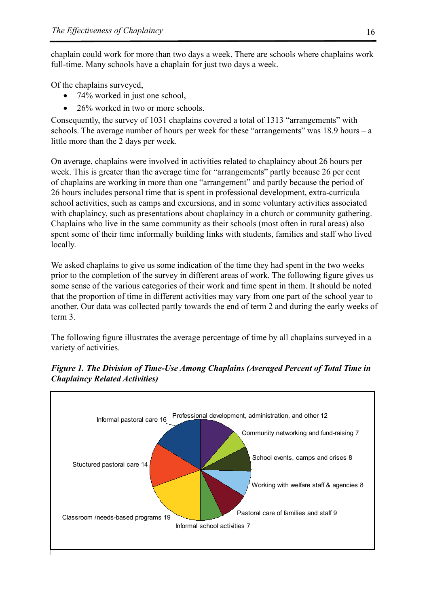chaplain could work for more than two days a week. There are schools where chaplains work full-time. Many schools have a chaplain for just two days a week.

Of the chaplains surveyed,

- 74% worked in just one school,
- 26% worked in two or more schools.

Consequently, the survey of 1031 chaplains covered a total of 1313 "arrangements" with schools. The average number of hours per week for these "arrangements" was 18.9 hours – a little more than the 2 days per week.

On average, chaplains were involved in activities related to chaplaincy about 26 hours per week. This is greater than the average time for "arrangements" partly because 26 per cent of chaplains are working in more than one "arrangement" and partly because the period of 26 hours includes personal time that is spent in professional development, extra-curricula school activities, such as camps and excursions, and in some voluntary activities associated with chaplaincy, such as presentations about chaplaincy in a church or community gathering. Chaplains who live in the same community as their schools (most often in rural areas) also spent some of their time informally building links with students, families and staff who lived locally.

We asked chaplains to give us some indication of the time they had spent in the two weeks prior to the completion of the survey in different areas of work. The following figure gives us some sense of the various categories of their work and time spent in them. It should be noted that the proportion of time in different activities may vary from one part of the school year to another. Our data was collected partly towards the end of term 2 and during the early weeks of term 3.

The following figure illustrates the average percentage of time by all chaplains surveyed in a variety of activities.



*Figure 1. The Division of Time-Use Among Chaplains (Averaged Percent of Total Time in Chaplaincy Related Activities)*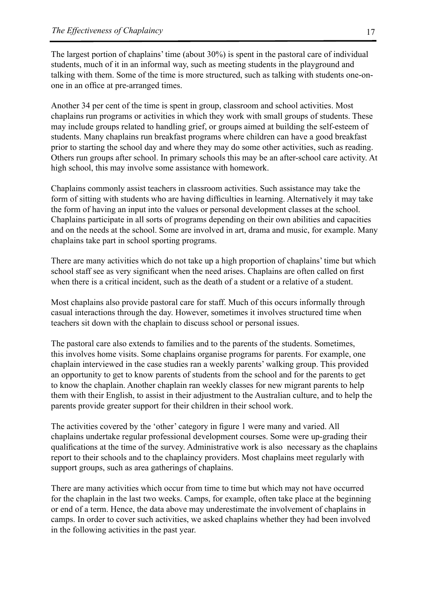The largest portion of chaplains' time (about 30%) is spent in the pastoral care of individual students, much of it in an informal way, such as meeting students in the playground and talking with them. Some of the time is more structured, such as talking with students one-onone in an office at pre-arranged times.

Another 34 per cent of the time is spent in group, classroom and school activities. Most chaplains run programs or activities in which they work with small groups of students. These may include groups related to handling grief, or groups aimed at building the self-esteem of students. Many chaplains run breakfast programs where children can have a good breakfast prior to starting the school day and where they may do some other activities, such as reading. Others run groups after school. In primary schools this may be an after-school care activity. At high school, this may involve some assistance with homework.

Chaplains commonly assist teachers in classroom activities. Such assistance may take the form of sitting with students who are having difficulties in learning. Alternatively it may take the form of having an input into the values or personal development classes at the school. Chaplains participate in all sorts of programs depending on their own abilities and capacities and on the needs at the school. Some are involved in art, drama and music, for example. Many chaplains take part in school sporting programs.

There are many activities which do not take up a high proportion of chaplains' time but which school staff see as very significant when the need arises. Chaplains are often called on first when there is a critical incident, such as the death of a student or a relative of a student.

Most chaplains also provide pastoral care for staff. Much of this occurs informally through casual interactions through the day. However, sometimes it involves structured time when teachers sit down with the chaplain to discuss school or personal issues.

The pastoral care also extends to families and to the parents of the students. Sometimes, this involves home visits. Some chaplains organise programs for parents. For example, one chaplain interviewed in the case studies ran a weekly parents' walking group. This provided an opportunity to get to know parents of students from the school and for the parents to get to know the chaplain. Another chaplain ran weekly classes for new migrant parents to help them with their English, to assist in their adjustment to the Australian culture, and to help the parents provide greater support for their children in their school work.

The activities covered by the 'other' category in figure 1 were many and varied. All chaplains undertake regular professional development courses. Some were up-grading their qualifications at the time of the survey. Administrative work is also necessary as the chaplains report to their schools and to the chaplaincy providers. Most chaplains meet regularly with support groups, such as area gatherings of chaplains.

There are many activities which occur from time to time but which may not have occurred for the chaplain in the last two weeks. Camps, for example, often take place at the beginning or end of a term. Hence, the data above may underestimate the involvement of chaplains in camps. In order to cover such activities, we asked chaplains whether they had been involved in the following activities in the past year.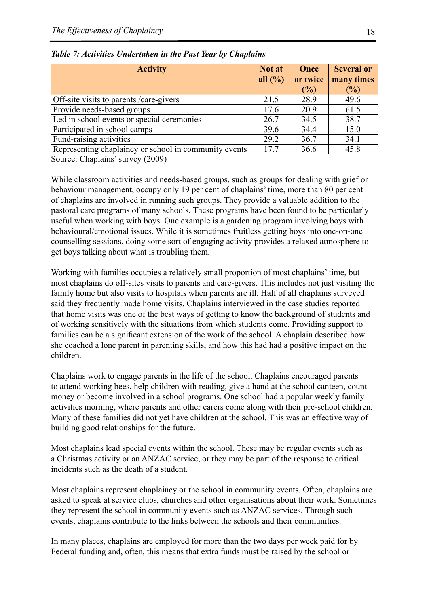| <b>Activity</b>                                                                                                                                                                                                                                                                                                                                                                    |      | Once<br>or twice<br>(%) | <b>Several or</b><br>many times<br>$(\%)$ |
|------------------------------------------------------------------------------------------------------------------------------------------------------------------------------------------------------------------------------------------------------------------------------------------------------------------------------------------------------------------------------------|------|-------------------------|-------------------------------------------|
| Off-site visits to parents /care-givers                                                                                                                                                                                                                                                                                                                                            | 21.5 | 28.9                    | 49.6                                      |
| Provide needs-based groups                                                                                                                                                                                                                                                                                                                                                         | 17.6 | 20.9                    | 61.5                                      |
| Led in school events or special ceremonies                                                                                                                                                                                                                                                                                                                                         | 26.7 | 34.5                    | 38.7                                      |
| Participated in school camps                                                                                                                                                                                                                                                                                                                                                       | 39.6 | 34.4                    | 15.0                                      |
| Fund-raising activities                                                                                                                                                                                                                                                                                                                                                            | 29.2 | 36.7                    | 34.1                                      |
| Representing chaplaincy or school in community events<br>(0.000)<br>$\sim$ 1 $\sim$ 1 $\sim$ 1 $\sim$ 1 $\sim$ 1 $\sim$ 1 $\sim$ 1 $\sim$ 1 $\sim$ 1 $\sim$ 1 $\sim$ 1 $\sim$ 1 $\sim$ 1 $\sim$ 1 $\sim$ 1 $\sim$ 1 $\sim$ 1 $\sim$ 1 $\sim$ 1 $\sim$ 1 $\sim$ 1 $\sim$ 1 $\sim$ 1 $\sim$ 1 $\sim$ 1 $\sim$ 1 $\sim$ 1 $\sim$ 1 $\sim$ 1 $\sim$ 1 $\sim$ 1 $\sim$<br>$\sim$ $\sim$ | 17.7 | 36.6                    | 45.8                                      |

*Table 7: Activities Undertaken in the Past Year by Chaplains*

Source: Chaplains' survey (2009)

While classroom activities and needs-based groups, such as groups for dealing with grief or behaviour management, occupy only 19 per cent of chaplains' time, more than 80 per cent of chaplains are involved in running such groups. They provide a valuable addition to the pastoral care programs of many schools. These programs have been found to be particularly useful when working with boys. One example is a gardening program involving boys with behavioural/emotional issues. While it is sometimes fruitless getting boys into one-on-one counselling sessions, doing some sort of engaging activity provides a relaxed atmosphere to get boys talking about what is troubling them.

Working with families occupies a relatively small proportion of most chaplains' time, but most chaplains do off-sites visits to parents and care-givers. This includes not just visiting the family home but also visits to hospitals when parents are ill. Half of all chaplains surveyed said they frequently made home visits. Chaplains interviewed in the case studies reported that home visits was one of the best ways of getting to know the background of students and of working sensitively with the situations from which students come. Providing support to families can be a significant extension of the work of the school. A chaplain described how she coached a lone parent in parenting skills, and how this had had a positive impact on the children.

Chaplains work to engage parents in the life of the school. Chaplains encouraged parents to attend working bees, help children with reading, give a hand at the school canteen, count money or become involved in a school programs. One school had a popular weekly family activities morning, where parents and other carers come along with their pre-school children. Many of these families did not yet have children at the school. This was an effective way of building good relationships for the future.

Most chaplains lead special events within the school. These may be regular events such as a Christmas activity or an ANZAC service, or they may be part of the response to critical incidents such as the death of a student.

Most chaplains represent chaplaincy or the school in community events. Often, chaplains are asked to speak at service clubs, churches and other organisations about their work. Sometimes they represent the school in community events such as ANZAC services. Through such events, chaplains contribute to the links between the schools and their communities.

In many places, chaplains are employed for more than the two days per week paid for by Federal funding and, often, this means that extra funds must be raised by the school or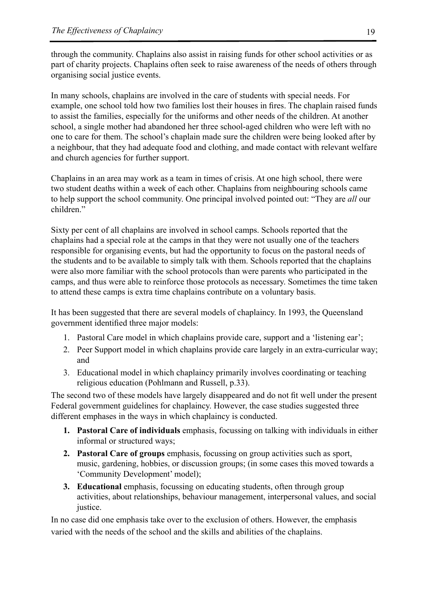through the community. Chaplains also assist in raising funds for other school activities or as part of charity projects. Chaplains often seek to raise awareness of the needs of others through organising social justice events.

In many schools, chaplains are involved in the care of students with special needs. For example, one school told how two families lost their houses in fires. The chaplain raised funds to assist the families, especially for the uniforms and other needs of the children. At another school, a single mother had abandoned her three school-aged children who were left with no one to care for them. The school's chaplain made sure the children were being looked after by a neighbour, that they had adequate food and clothing, and made contact with relevant welfare and church agencies for further support.

Chaplains in an area may work as a team in times of crisis. At one high school, there were two student deaths within a week of each other. Chaplains from neighbouring schools came to help support the school community. One principal involved pointed out: "They are *all* our children."

Sixty per cent of all chaplains are involved in school camps. Schools reported that the chaplains had a special role at the camps in that they were not usually one of the teachers responsible for organising events, but had the opportunity to focus on the pastoral needs of the students and to be available to simply talk with them. Schools reported that the chaplains were also more familiar with the school protocols than were parents who participated in the camps, and thus were able to reinforce those protocols as necessary. Sometimes the time taken to attend these camps is extra time chaplains contribute on a voluntary basis.

It has been suggested that there are several models of chaplaincy. In 1993, the Queensland government identified three major models:

- 1. Pastoral Care model in which chaplains provide care, support and a 'listening ear';
- 2. Peer Support model in which chaplains provide care largely in an extra-curricular way; and
- 3. Educational model in which chaplaincy primarily involves coordinating or teaching religious education (Pohlmann and Russell, p.33).

The second two of these models have largely disappeared and do not fit well under the present Federal government guidelines for chaplaincy. However, the case studies suggested three different emphases in the ways in which chaplaincy is conducted.

- **1. Pastoral Care of individuals** emphasis, focussing on talking with individuals in either informal or structured ways;
- **2. Pastoral Care of groups** emphasis, focussing on group activities such as sport, music, gardening, hobbies, or discussion groups; (in some cases this moved towards a 'Community Development' model);
- **3. Educational emphasis, focussing on educating students, often through group** activities, about relationships, behaviour management, interpersonal values, and social justice.

In no case did one emphasis take over to the exclusion of others. However, the emphasis varied with the needs of the school and the skills and abilities of the chaplains.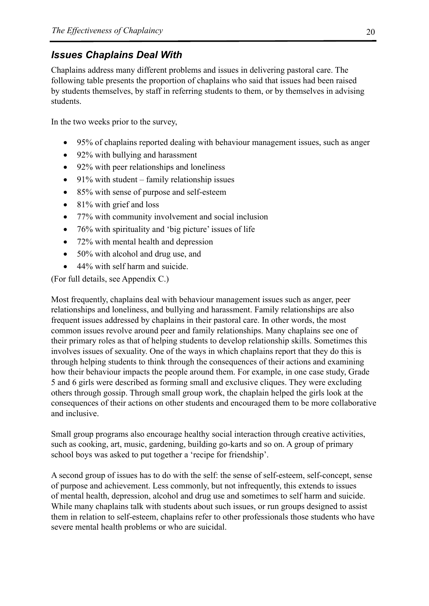# *Issues Chaplains Deal With*

Chaplains address many different problems and issues in delivering pastoral care. The following table presents the proportion of chaplains who said that issues had been raised by students themselves, by staff in referring students to them, or by themselves in advising students.

In the two weeks prior to the survey,

- 95% of chaplains reported dealing with behaviour management issues, such as anger
- 92% with bullying and harassment
- 92% with peer relationships and loneliness
- 91% with student family relationship issues
- 85% with sense of purpose and self-esteem
- $\bullet$  81% with grief and loss
- 77% with community involvement and social inclusion
- 76% with spirituality and 'big picture' issues of life
- 72% with mental health and depression
- 50% with alcohol and drug use, and
- 44% with self harm and suicide.

(For full details, see Appendix C.)

Most frequently, chaplains deal with behaviour management issues such as anger, peer relationships and loneliness, and bullying and harassment. Family relationships are also frequent issues addressed by chaplains in their pastoral care. In other words, the most common issues revolve around peer and family relationships. Many chaplains see one of their primary roles as that of helping students to develop relationship skills. Sometimes this involves issues of sexuality. One of the ways in which chaplains report that they do this is through helping students to think through the consequences of their actions and examining how their behaviour impacts the people around them. For example, in one case study, Grade 5 and 6 girls were described as forming small and exclusive cliques. They were excluding others through gossip. Through small group work, the chaplain helped the girls look at the consequences of their actions on other students and encouraged them to be more collaborative and inclusive.

Small group programs also encourage healthy social interaction through creative activities, such as cooking, art, music, gardening, building go-karts and so on. A group of primary school boys was asked to put together a 'recipe for friendship'.

A second group of issues has to do with the self: the sense of self-esteem, self-concept, sense of purpose and achievement. Less commonly, but not infrequently, this extends to issues of mental health, depression, alcohol and drug use and sometimes to self harm and suicide. While many chaplains talk with students about such issues, or run groups designed to assist them in relation to self-esteem, chaplains refer to other professionals those students who have severe mental health problems or who are suicidal.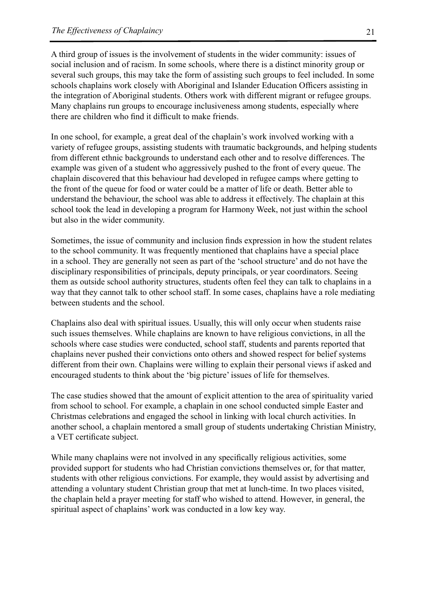A third group of issues is the involvement of students in the wider community: issues of social inclusion and of racism. In some schools, where there is a distinct minority group or several such groups, this may take the form of assisting such groups to feel included. In some schools chaplains work closely with Aboriginal and Islander Education Officers assisting in the integration of Aboriginal students. Others work with different migrant or refugee groups. Many chaplains run groups to encourage inclusiveness among students, especially where there are children who find it difficult to make friends.

In one school, for example, a great deal of the chaplain's work involved working with a variety of refugee groups, assisting students with traumatic backgrounds, and helping students from different ethnic backgrounds to understand each other and to resolve differences. The example was given of a student who aggressively pushed to the front of every queue. The chaplain discovered that this behaviour had developed in refugee camps where getting to the front of the queue for food or water could be a matter of life or death. Better able to understand the behaviour, the school was able to address it effectively. The chaplain at this school took the lead in developing a program for Harmony Week, not just within the school but also in the wider community.

Sometimes, the issue of community and inclusion finds expression in how the student relates to the school community. It was frequently mentioned that chaplains have a special place in a school. They are generally not seen as part of the 'school structure' and do not have the disciplinary responsibilities of principals, deputy principals, or year coordinators. Seeing them as outside school authority structures, students often feel they can talk to chaplains in a way that they cannot talk to other school staff. In some cases, chaplains have a role mediating between students and the school.

Chaplains also deal with spiritual issues. Usually, this will only occur when students raise such issues themselves. While chaplains are known to have religious convictions, in all the schools where case studies were conducted, school staff, students and parents reported that chaplains never pushed their convictions onto others and showed respect for belief systems different from their own. Chaplains were willing to explain their personal views if asked and encouraged students to think about the 'big picture' issues of life for themselves.

The case studies showed that the amount of explicit attention to the area of spirituality varied from school to school. For example, a chaplain in one school conducted simple Easter and Christmas celebrations and engaged the school in linking with local church activities. In another school, a chaplain mentored a small group of students undertaking Christian Ministry, a VET certificate subject.

While many chaplains were not involved in any specifically religious activities, some provided support for students who had Christian convictions themselves or, for that matter, students with other religious convictions. For example, they would assist by advertising and attending a voluntary student Christian group that met at lunch-time. In two places visited, the chaplain held a prayer meeting for staff who wished to attend. However, in general, the spiritual aspect of chaplains' work was conducted in a low key way.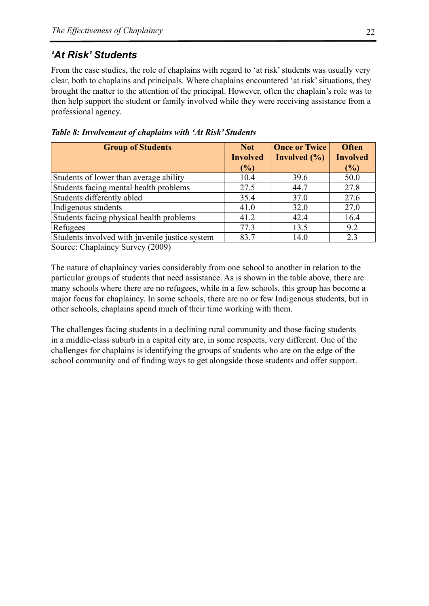# *'At Risk' Students*

From the case studies, the role of chaplains with regard to 'at risk' students was usually very clear, both to chaplains and principals. Where chaplains encountered 'at risk' situations, they brought the matter to the attention of the principal. However, often the chaplain's role was to then help support the student or family involved while they were receiving assistance from a professional agency.

| <b>Group of Students</b>                       | <b>Not</b>      | <b>Once or Twice</b> | <b>Often</b>    |
|------------------------------------------------|-----------------|----------------------|-----------------|
|                                                | <b>Involved</b> | Involved $(\% )$     | <b>Involved</b> |
|                                                | (%)             |                      | $(\%)$          |
| Students of lower than average ability         | 10.4            | 39.6                 | 50.0            |
| Students facing mental health problems         | 27.5            | 44.7                 | 27.8            |
| Students differently abled                     | 35.4            | 37.0                 | 27.6            |
| Indigenous students                            | 41.0            | 32.0                 | 27.0            |
| Students facing physical health problems       | 41.2            | 42.4                 | 16.4            |
| Refugees                                       | 77.3            | 13.5                 | 9.2             |
| Students involved with juvenile justice system | 83.7            | 14.0                 | 2.3             |

*Table 8: Involvement of chaplains with 'At Risk' Students*

Source: Chaplaincy Survey (2009)

The nature of chaplaincy varies considerably from one school to another in relation to the particular groups of students that need assistance. As is shown in the table above, there are many schools where there are no refugees, while in a few schools, this group has become a major focus for chaplaincy. In some schools, there are no or few Indigenous students, but in other schools, chaplains spend much of their time working with them.

The challenges facing students in a declining rural community and those facing students in a middle-class suburb in a capital city are, in some respects, very different. One of the challenges for chaplains is identifying the groups of students who are on the edge of the school community and of finding ways to get alongside those students and offer support.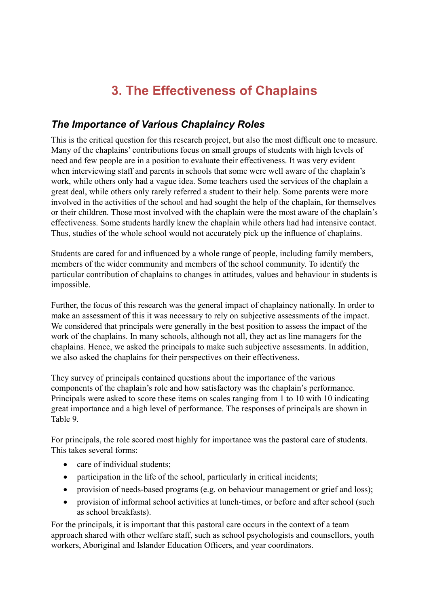# **3. The Effectiveness of Chaplains**

# *The Importance of Various Chaplaincy Roles*

This is the critical question for this research project, but also the most difficult one to measure. Many of the chaplains' contributions focus on small groups of students with high levels of need and few people are in a position to evaluate their effectiveness. It was very evident when interviewing staff and parents in schools that some were well aware of the chaplain's work, while others only had a vague idea. Some teachers used the services of the chaplain a great deal, while others only rarely referred a student to their help. Some parents were more involved in the activities of the school and had sought the help of the chaplain, for themselves or their children. Those most involved with the chaplain were the most aware of the chaplain's effectiveness. Some students hardly knew the chaplain while others had had intensive contact. Thus, studies of the whole school would not accurately pick up the influence of chaplains.

Students are cared for and influenced by a whole range of people, including family members, members of the wider community and members of the school community. To identify the particular contribution of chaplains to changes in attitudes, values and behaviour in students is impossible.

Further, the focus of this research was the general impact of chaplaincy nationally. In order to make an assessment of this it was necessary to rely on subjective assessments of the impact. We considered that principals were generally in the best position to assess the impact of the work of the chaplains. In many schools, although not all, they act as line managers for the chaplains. Hence, we asked the principals to make such subjective assessments. In addition, we also asked the chaplains for their perspectives on their effectiveness.

They survey of principals contained questions about the importance of the various components of the chaplain's role and how satisfactory was the chaplain's performance. Principals were asked to score these items on scales ranging from 1 to 10 with 10 indicating great importance and a high level of performance. The responses of principals are shown in Table 9.

For principals, the role scored most highly for importance was the pastoral care of students. This takes several forms:

- care of individual students;
- participation in the life of the school, particularly in critical incidents;
- provision of needs-based programs (e.g. on behaviour management or grief and loss);
- provision of informal school activities at lunch-times, or before and after school (such as school breakfasts).

For the principals, it is important that this pastoral care occurs in the context of a team approach shared with other welfare staff, such as school psychologists and counsellors, youth workers, Aboriginal and Islander Education Officers, and year coordinators.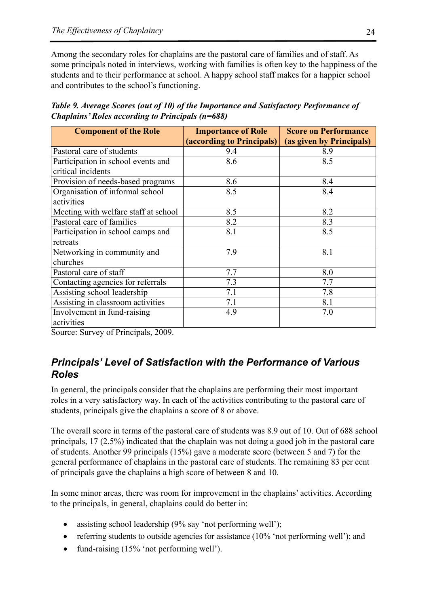Among the secondary roles for chaplains are the pastoral care of families and of staff. As some principals noted in interviews, working with families is often key to the happiness of the students and to their performance at school. A happy school staff makes for a happier school and contributes to the school's functioning.

*Table 9. Average Scores (out of 10) of the Importance and Satisfactory Performance of Chaplains' Roles according to Principals (n=688)*

| <b>Component of the Role</b>         | <b>Importance of Role</b> | <b>Score on Performance</b> |
|--------------------------------------|---------------------------|-----------------------------|
|                                      | (according to Principals) | (as given by Principals)    |
| Pastoral care of students            | 9.4                       | 8.9                         |
| Participation in school events and   | 8.6                       | 8.5                         |
| critical incidents                   |                           |                             |
| Provision of needs-based programs    | 8.6                       | 8.4                         |
| Organisation of informal school      | 8.5                       | 8.4                         |
| activities                           |                           |                             |
| Meeting with welfare staff at school | 8.5                       | 8.2                         |
| Pastoral care of families            | 8.2                       | 8.3                         |
| Participation in school camps and    | 8.1                       | 8.5                         |
| retreats                             |                           |                             |
| Networking in community and          | 7.9                       | 8.1                         |
| churches                             |                           |                             |
| Pastoral care of staff               | 7.7                       | 8.0                         |
| Contacting agencies for referrals    | 7.3                       | 7.7                         |
| Assisting school leadership          | 7.1                       | 7.8                         |
| Assisting in classroom activities    | 7.1                       | 8.1                         |
| Involvement in fund-raising          | 4.9                       | 7.0                         |
| activities                           |                           |                             |

Source: Survey of Principals, 2009.

# *Principals' Level of Satisfaction with the Performance of Various Roles*

In general, the principals consider that the chaplains are performing their most important roles in a very satisfactory way. In each of the activities contributing to the pastoral care of students, principals give the chaplains a score of 8 or above.

The overall score in terms of the pastoral care of students was 8.9 out of 10. Out of 688 school principals, 17 (2.5%) indicated that the chaplain was not doing a good job in the pastoral care of students. Another 99 principals (15%) gave a moderate score (between 5 and 7) for the general performance of chaplains in the pastoral care of students. The remaining 83 per cent of principals gave the chaplains a high score of between 8 and 10.

In some minor areas, there was room for improvement in the chaplains' activities. According to the principals, in general, chaplains could do better in:

- assisting school leadership  $(9\%$  say 'not performing well');
- referring students to outside agencies for assistance  $(10\%$  'not performing well'); and
- fund-raising  $(15\%$  'not performing well').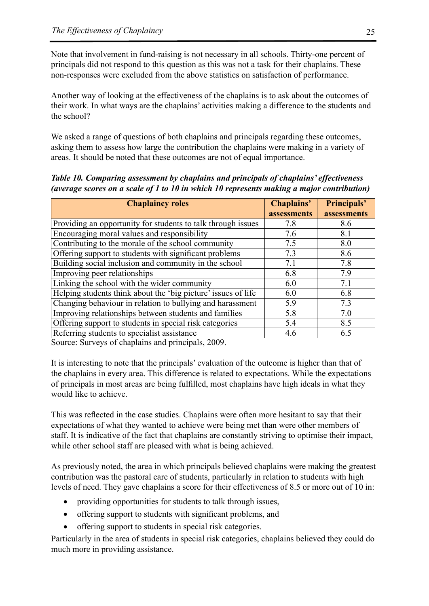Note that involvement in fund-raising is not necessary in all schools. Thirty-one percent of principals did not respond to this question as this was not a task for their chaplains. These non-responses were excluded from the above statistics on satisfaction of performance.

Another way of looking at the effectiveness of the chaplains is to ask about the outcomes of their work. In what ways are the chaplains' activities making a difference to the students and the school?

We asked a range of questions of both chaplains and principals regarding these outcomes, asking them to assess how large the contribution the chaplains were making in a variety of areas. It should be noted that these outcomes are not of equal importance.

*Table 10. Comparing assessment by chaplains and principals of chaplains' effectiveness (average scores on a scale of 1 to 10 in which 10 represents making a major contribution)*

| <b>Chaplaincy roles</b>                                                                                                                                | Chaplains'  | Principals' |
|--------------------------------------------------------------------------------------------------------------------------------------------------------|-------------|-------------|
|                                                                                                                                                        | assessments | assessments |
| Providing an opportunity for students to talk through issues                                                                                           | 7.8         | 8.6         |
| Encouraging moral values and responsibility                                                                                                            | 7.6         | 8.1         |
| Contributing to the morale of the school community                                                                                                     | 7.5         | 8.0         |
| Offering support to students with significant problems                                                                                                 | 7.3         | 8.6         |
| Building social inclusion and community in the school                                                                                                  | 7.1         | 7.8         |
| Improving peer relationships                                                                                                                           | 6.8         | 7.9         |
| Linking the school with the wider community                                                                                                            | 6.0         | 7.1         |
| Helping students think about the 'big picture' issues of life                                                                                          | 6.0         | 6.8         |
| Changing behaviour in relation to bullying and harassment                                                                                              | 5.9         | 7.3         |
| Improving relationships between students and families                                                                                                  | 5.8         | 7.0         |
| Offering support to students in special risk categories                                                                                                | 5.4         | 8.5         |
| Referring students to specialist assistance<br>$\cdot$ 1 0000<br>$\alpha$ $\beta$ $\beta$ $\beta$ $\beta$ $\gamma$ $\gamma$ $\gamma$ $\gamma$ $\gamma$ | 4.6         | 6.5         |

Source: Surveys of chaplains and principals, 2009.

It is interesting to note that the principals' evaluation of the outcome is higher than that of the chaplains in every area. This difference is related to expectations. While the expectations of principals in most areas are being fulfilled, most chaplains have high ideals in what they would like to achieve.

This was reflected in the case studies. Chaplains were often more hesitant to say that their expectations of what they wanted to achieve were being met than were other members of staff. It is indicative of the fact that chaplains are constantly striving to optimise their impact, while other school staff are pleased with what is being achieved.

As previously noted, the area in which principals believed chaplains were making the greatest contribution was the pastoral care of students, particularly in relation to students with high levels of need. They gave chaplains a score for their effectiveness of 8.5 or more out of 10 in:

- providing opportunities for students to talk through issues,
- offering support to students with significant problems, and
- offering support to students in special risk categories.

Particularly in the area of students in special risk categories, chaplains believed they could do much more in providing assistance.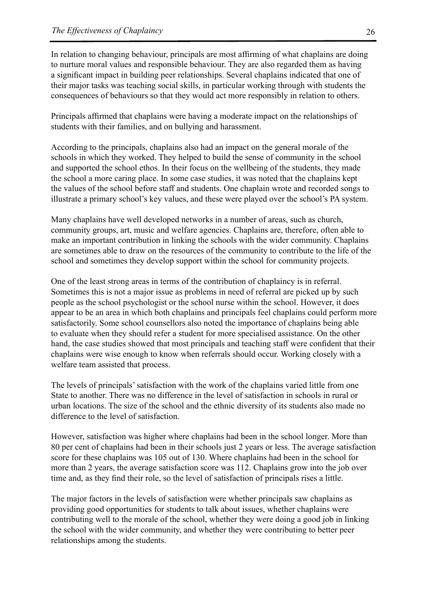In relation to changing behaviour, principals are most affirming of what chaplains are doing to nurture moral values and responsible behaviour. They are also regarded them as having a significant impact in building peer relationships. Several chaplains indicated that one of their major tasks was teaching social skills, in particular working through with students the consequences of behaviours so that they would act more responsibly in relation to others.

Principals affirmed that chaplains were having a moderate impact on the relationships of students with their families, and on bullying and harassment.

According to the principals, chaplains also had an impact on the general morale of the schools in which they worked. They helped to build the sense of community in the school and supported the school ethos. In their focus on the wellbeing of the students, they made the school a more caring place. In some case studies, it was noted that the chaplains kept the values of the school before staff and students. One chaplain wrote and recorded songs to illustrate a primary school's key values, and these were played over the school's PA system.

Many chaplains have well developed networks in a number of areas, such as church, community groups, art, music and welfare agencies. Chaplains are, therefore, often able to make an important contribution in linking the schools with the wider community. Chaplains are sometimes able to draw on the resources of the community to contribute to the life of the school and sometimes they develop support within the school for community projects.

One of the least strong areas in terms of the contribution of chaplaincy is in referral. Sometimes this is not a major issue as problems in need of referral are picked up by such people as the school psychologist or the school nurse within the school. However, it does appear to be an area in which both chaplains and principals feel chaplains could perform more satisfactorily. Some school counsellors also noted the importance of chaplains being able to evaluate when they should refer a student for more specialised assistance. On the other hand, the case studies showed that most principals and teaching staff were confident that their chaplains were wise enough to know when referrals should occur. Working closely with a welfare team assisted that process.

The levels of principals' satisfaction with the work of the chaplains varied little from one State to another. There was no difference in the level of satisfaction in schools in rural or urban locations. The size of the school and the ethnic diversity of its students also made no difference to the level of satisfaction.

However, satisfaction was higher where chaplains had been in the school longer. More than 80 per cent of chaplains had been in their schools just 2 years or less. The average satisfaction score for these chaplains was 105 out of 130. Where chaplains had been in the school for more than 2 years, the average satisfaction score was 112. Chaplains grow into the job over time and, as they find their role, so the level of satisfaction of principals rises a little.

The major factors in the levels of satisfaction were whether principals saw chaplains as providing good opportunities for students to talk about issues, whether chaplains were contributing well to the morale of the school, whether they were doing a good job in linking the school with the wider community, and whether they were contributing to better peer relationships among the students.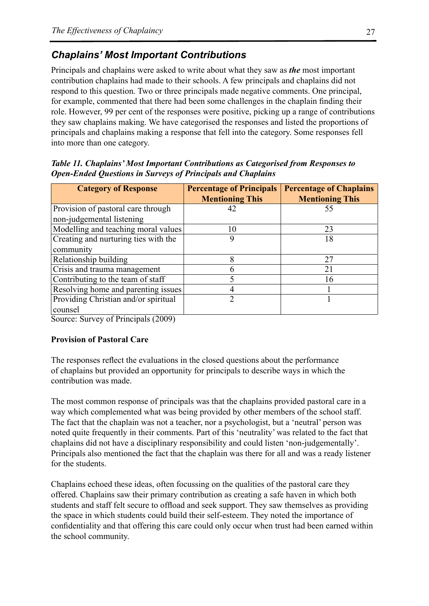# *Chaplains' Most Important Contributions*

Principals and chaplains were asked to write about what they saw as *the* most important contribution chaplains had made to their schools. A few principals and chaplains did not respond to this question. Two or three principals made negative comments. One principal, for example, commented that there had been some challenges in the chaplain finding their role. However, 99 per cent of the responses were positive, picking up a range of contributions they saw chaplains making. We have categorised the responses and listed the proportions of principals and chaplains making a response that fell into the category. Some responses fell into more than one category.

| <b>Category of Response</b>          | <b>Percentage of Principals</b><br><b>Mentioning This</b> | <b>Percentage of Chaplains</b><br><b>Mentioning This</b> |
|--------------------------------------|-----------------------------------------------------------|----------------------------------------------------------|
| Provision of pastoral care through   | 42                                                        | 55                                                       |
| non-judgemental listening            |                                                           |                                                          |
| Modelling and teaching moral values  | 10                                                        | 23                                                       |
| Creating and nurturing ties with the |                                                           | 18                                                       |
| community                            |                                                           |                                                          |
| Relationship building                |                                                           | 27                                                       |
| Crisis and trauma management         |                                                           | 21                                                       |
| Contributing to the team of staff    |                                                           | 16                                                       |
| Resolving home and parenting issues  |                                                           |                                                          |
| Providing Christian and/or spiritual |                                                           |                                                          |
| counsel                              |                                                           |                                                          |

*Table 11. Chaplains' Most Important Contributions as Categorised from Responses to Open-Ended Questions in Surveys of Principals and Chaplains* 

Source: Survey of Principals (2009)

#### **Provision of Pastoral Care**

The responses reflect the evaluations in the closed questions about the performance of chaplains but provided an opportunity for principals to describe ways in which the contribution was made.

The most common response of principals was that the chaplains provided pastoral care in a way which complemented what was being provided by other members of the school staff. The fact that the chaplain was not a teacher, nor a psychologist, but a 'neutral' person was noted quite frequently in their comments. Part of this 'neutrality' was related to the fact that chaplains did not have a disciplinary responsibility and could listen 'non-judgementally'. Principals also mentioned the fact that the chaplain was there for all and was a ready listener for the students.

Chaplains echoed these ideas, often focussing on the qualities of the pastoral care they offered. Chaplains saw their primary contribution as creating a safe haven in which both students and staff felt secure to offload and seek support. They saw themselves as providing the space in which students could build their self-esteem. They noted the importance of confidentiality and that offering this care could only occur when trust had been earned within the school community.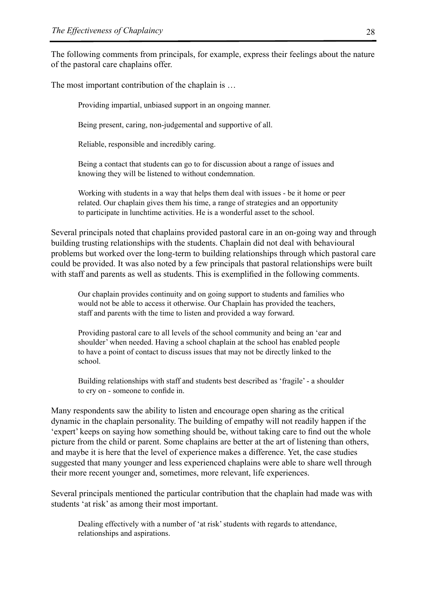The following comments from principals, for example, express their feelings about the nature of the pastoral care chaplains offer.

The most important contribution of the chaplain is …

Providing impartial, unbiased support in an ongoing manner.

Being present, caring, non-judgemental and supportive of all.

Reliable, responsible and incredibly caring.

Being a contact that students can go to for discussion about a range of issues and knowing they will be listened to without condemnation.

Working with students in a way that helps them deal with issues - be it home or peer related. Our chaplain gives them his time, a range of strategies and an opportunity to participate in lunchtime activities. He is a wonderful asset to the school.

Several principals noted that chaplains provided pastoral care in an on-going way and through building trusting relationships with the students. Chaplain did not deal with behavioural problems but worked over the long-term to building relationships through which pastoral care could be provided. It was also noted by a few principals that pastoral relationships were built with staff and parents as well as students. This is exemplified in the following comments.

Our chaplain provides continuity and on going support to students and families who would not be able to access it otherwise. Our Chaplain has provided the teachers, staff and parents with the time to listen and provided a way forward.

Providing pastoral care to all levels of the school community and being an 'ear and shoulder' when needed. Having a school chaplain at the school has enabled people to have a point of contact to discuss issues that may not be directly linked to the school.

Building relationships with staff and students best described as 'fragile' - a shoulder to cry on - someone to confide in.

Many respondents saw the ability to listen and encourage open sharing as the critical dynamic in the chaplain personality. The building of empathy will not readily happen if the 'expert' keeps on saying how something should be, without taking care to find out the whole picture from the child or parent. Some chaplains are better at the art of listening than others, and maybe it is here that the level of experience makes a difference. Yet, the case studies suggested that many younger and less experienced chaplains were able to share well through their more recent younger and, sometimes, more relevant, life experiences.

Several principals mentioned the particular contribution that the chaplain had made was with students 'at risk' as among their most important.

Dealing effectively with a number of 'at risk' students with regards to attendance, relationships and aspirations.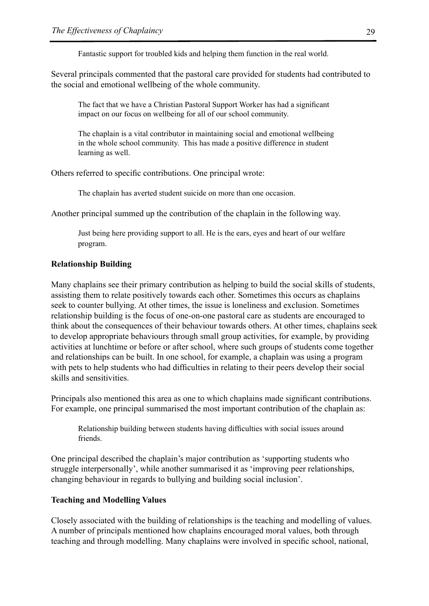Fantastic support for troubled kids and helping them function in the real world.

Several principals commented that the pastoral care provided for students had contributed to the social and emotional wellbeing of the whole community.

The fact that we have a Christian Pastoral Support Worker has had a significant impact on our focus on wellbeing for all of our school community.

The chaplain is a vital contributor in maintaining social and emotional wellbeing in the whole school community. This has made a positive difference in student learning as well.

Others referred to specific contributions. One principal wrote:

The chaplain has averted student suicide on more than one occasion.

Another principal summed up the contribution of the chaplain in the following way.

Just being here providing support to all. He is the ears, eyes and heart of our welfare program.

#### **Relationship Building**

Many chaplains see their primary contribution as helping to build the social skills of students, assisting them to relate positively towards each other. Sometimes this occurs as chaplains seek to counter bullying. At other times, the issue is loneliness and exclusion. Sometimes relationship building is the focus of one-on-one pastoral care as students are encouraged to think about the consequences of their behaviour towards others. At other times, chaplains seek to develop appropriate behaviours through small group activities, for example, by providing activities at lunchtime or before or after school, where such groups of students come together and relationships can be built. In one school, for example, a chaplain was using a program with pets to help students who had difficulties in relating to their peers develop their social skills and sensitivities.

Principals also mentioned this area as one to which chaplains made significant contributions. For example, one principal summarised the most important contribution of the chaplain as:

Relationship building between students having difficulties with social issues around friends.

One principal described the chaplain's major contribution as 'supporting students who struggle interpersonally', while another summarised it as 'improving peer relationships, changing behaviour in regards to bullying and building social inclusion'.

#### **Teaching and Modelling Values**

Closely associated with the building of relationships is the teaching and modelling of values. A number of principals mentioned how chaplains encouraged moral values, both through teaching and through modelling. Many chaplains were involved in specific school, national,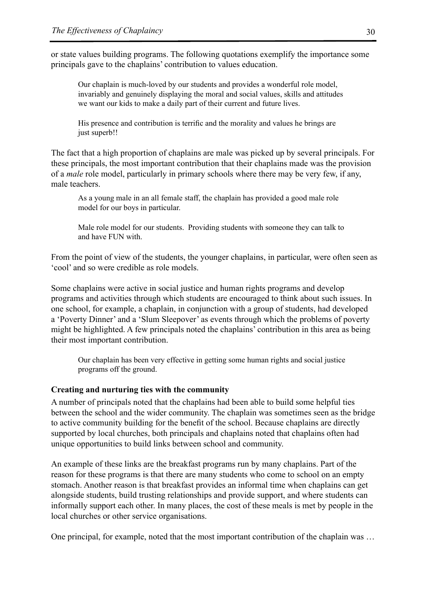or state values building programs. The following quotations exemplify the importance some principals gave to the chaplains' contribution to values education.

Our chaplain is much-loved by our students and provides a wonderful role model, invariably and genuinely displaying the moral and social values, skills and attitudes we want our kids to make a daily part of their current and future lives.

His presence and contribution is terrific and the morality and values he brings are just superb!!

The fact that a high proportion of chaplains are male was picked up by several principals. For these principals, the most important contribution that their chaplains made was the provision of a *male* role model, particularly in primary schools where there may be very few, if any, male teachers.

As a young male in an all female staff, the chaplain has provided a good male role model for our boys in particular.

Male role model for our students. Providing students with someone they can talk to and have FUN with.

From the point of view of the students, the younger chaplains, in particular, were often seen as 'cool' and so were credible as role models.

Some chaplains were active in social justice and human rights programs and develop programs and activities through which students are encouraged to think about such issues. In one school, for example, a chaplain, in conjunction with a group of students, had developed a 'Poverty Dinner' and a 'Slum Sleepover' as events through which the problems of poverty might be highlighted. A few principals noted the chaplains' contribution in this area as being their most important contribution.

Our chaplain has been very effective in getting some human rights and social justice programs off the ground.

#### **Creating and nurturing ties with the community**

A number of principals noted that the chaplains had been able to build some helpful ties between the school and the wider community. The chaplain was sometimes seen as the bridge to active community building for the benefit of the school. Because chaplains are directly supported by local churches, both principals and chaplains noted that chaplains often had unique opportunities to build links between school and community.

An example of these links are the breakfast programs run by many chaplains. Part of the reason for these programs is that there are many students who come to school on an empty stomach. Another reason is that breakfast provides an informal time when chaplains can get alongside students, build trusting relationships and provide support, and where students can informally support each other. In many places, the cost of these meals is met by people in the local churches or other service organisations.

One principal, for example, noted that the most important contribution of the chaplain was …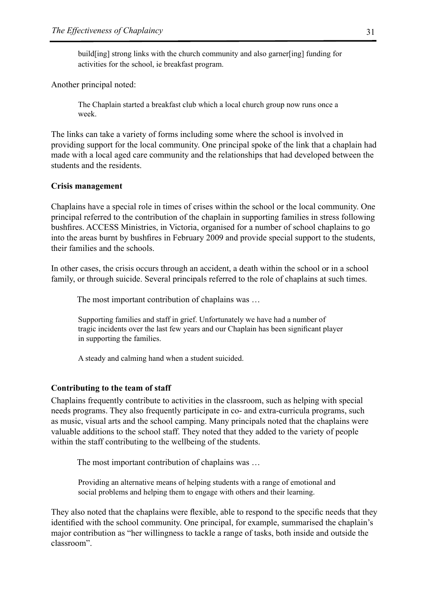build[ing] strong links with the church community and also garner[ing] funding for activities for the school, ie breakfast program.

Another principal noted:

The Chaplain started a breakfast club which a local church group now runs once a week.

The links can take a variety of forms including some where the school is involved in providing support for the local community. One principal spoke of the link that a chaplain had made with a local aged care community and the relationships that had developed between the students and the residents.

#### **Crisis management**

Chaplains have a special role in times of crises within the school or the local community. One principal referred to the contribution of the chaplain in supporting families in stress following bushfires. ACCESS Ministries, in Victoria, organised for a number of school chaplains to go into the areas burnt by bushfires in February 2009 and provide special support to the students, their families and the schools.

In other cases, the crisis occurs through an accident, a death within the school or in a school family, or through suicide. Several principals referred to the role of chaplains at such times.

The most important contribution of chaplains was …

Supporting families and staff in grief. Unfortunately we have had a number of tragic incidents over the last few years and our Chaplain has been significant player in supporting the families.

A steady and calming hand when a student suicided.

#### **Contributing to the team of staff**

Chaplains frequently contribute to activities in the classroom, such as helping with special needs programs. They also frequently participate in co- and extra-curricula programs, such as music, visual arts and the school camping. Many principals noted that the chaplains were valuable additions to the school staff. They noted that they added to the variety of people within the staff contributing to the wellbeing of the students.

The most important contribution of chaplains was …

Providing an alternative means of helping students with a range of emotional and social problems and helping them to engage with others and their learning.

They also noted that the chaplains were flexible, able to respond to the specific needs that they identified with the school community. One principal, for example, summarised the chaplain's major contribution as "her willingness to tackle a range of tasks, both inside and outside the classroom".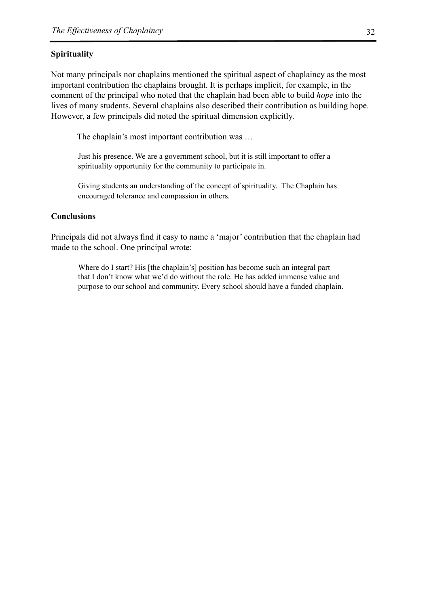#### **Spirituality**

Not many principals nor chaplains mentioned the spiritual aspect of chaplaincy as the most important contribution the chaplains brought. It is perhaps implicit, for example, in the comment of the principal who noted that the chaplain had been able to build *hope* into the lives of many students. Several chaplains also described their contribution as building hope. However, a few principals did noted the spiritual dimension explicitly.

The chaplain's most important contribution was …

Just his presence. We are a government school, but it is still important to offer a spirituality opportunity for the community to participate in.

Giving students an understanding of the concept of spirituality. The Chaplain has encouraged tolerance and compassion in others.

#### **Conclusions**

Principals did not always find it easy to name a 'major' contribution that the chaplain had made to the school. One principal wrote:

Where do I start? His [the chaplain's] position has become such an integral part that I don't know what we'd do without the role. He has added immense value and purpose to our school and community. Every school should have a funded chaplain.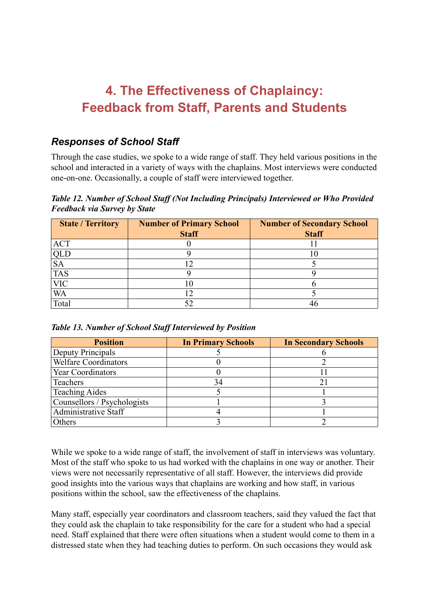# **4. The Effectiveness of Chaplaincy: Feedback from Staff, Parents and Students**

# *Responses of School Staff*

Through the case studies, we spoke to a wide range of staff. They held various positions in the school and interacted in a variety of ways with the chaplains. Most interviews were conducted one-on-one. Occasionally, a couple of staff were interviewed together.

*Table 12. Number of School Staff (Not Including Principals) Interviewed or Who Provided Feedback via Survey by State* 

| <b>State / Territory</b> | <b>Number of Primary School</b> | <b>Number of Secondary School</b> |  |  |  |
|--------------------------|---------------------------------|-----------------------------------|--|--|--|
|                          | <b>Staff</b>                    | <b>Staff</b>                      |  |  |  |
| <b>ACT</b>               |                                 |                                   |  |  |  |
|                          |                                 | 10                                |  |  |  |
| $rac{QLD}{SA}$           |                                 |                                   |  |  |  |
| <b>TAS</b>               |                                 |                                   |  |  |  |
| <b>VIC</b>               |                                 |                                   |  |  |  |
| <b>WA</b>                |                                 |                                   |  |  |  |
| Total                    |                                 |                                   |  |  |  |

| <b>Position</b>             | <b>In Primary Schools</b> | <b>In Secondary Schools</b> |
|-----------------------------|---------------------------|-----------------------------|
| Deputy Principals           |                           |                             |
| <b>Welfare Coordinators</b> |                           |                             |
| <b>Year Coordinators</b>    |                           |                             |
| Teachers                    | 34                        |                             |
| <b>Teaching Aides</b>       |                           |                             |
| Counsellors / Psychologists |                           |                             |
| Administrative Staff        |                           |                             |
| Others                      |                           |                             |

While we spoke to a wide range of staff, the involvement of staff in interviews was voluntary. Most of the staff who spoke to us had worked with the chaplains in one way or another. Their views were not necessarily representative of all staff. However, the interviews did provide good insights into the various ways that chaplains are working and how staff, in various positions within the school, saw the effectiveness of the chaplains.

Many staff, especially year coordinators and classroom teachers, said they valued the fact that they could ask the chaplain to take responsibility for the care for a student who had a special need. Staff explained that there were often situations when a student would come to them in a distressed state when they had teaching duties to perform. On such occasions they would ask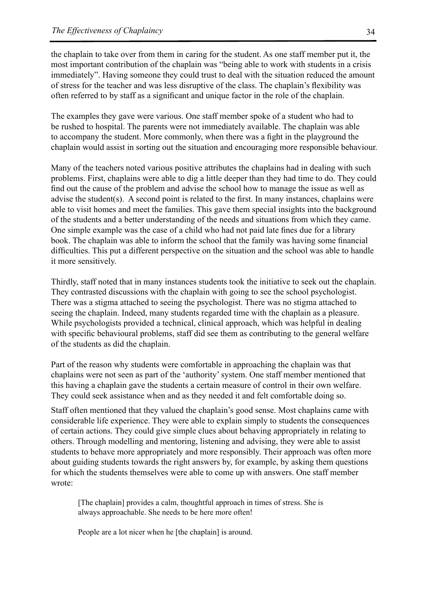the chaplain to take over from them in caring for the student. As one staff member put it, the most important contribution of the chaplain was "being able to work with students in a crisis immediately". Having someone they could trust to deal with the situation reduced the amount of stress for the teacher and was less disruptive of the class. The chaplain's flexibility was often referred to by staff as a significant and unique factor in the role of the chaplain.

The examples they gave were various. One staff member spoke of a student who had to be rushed to hospital. The parents were not immediately available. The chaplain was able to accompany the student. More commonly, when there was a fight in the playground the chaplain would assist in sorting out the situation and encouraging more responsible behaviour.

Many of the teachers noted various positive attributes the chaplains had in dealing with such problems. First, chaplains were able to dig a little deeper than they had time to do. They could find out the cause of the problem and advise the school how to manage the issue as well as advise the student(s). A second point is related to the first. In many instances, chaplains were able to visit homes and meet the families. This gave them special insights into the background of the students and a better understanding of the needs and situations from which they came. One simple example was the case of a child who had not paid late fines due for a library book. The chaplain was able to inform the school that the family was having some financial difficulties. This put a different perspective on the situation and the school was able to handle it more sensitively.

Thirdly, staff noted that in many instances students took the initiative to seek out the chaplain. They contrasted discussions with the chaplain with going to see the school psychologist. There was a stigma attached to seeing the psychologist. There was no stigma attached to seeing the chaplain. Indeed, many students regarded time with the chaplain as a pleasure. While psychologists provided a technical, clinical approach, which was helpful in dealing with specific behavioural problems, staff did see them as contributing to the general welfare of the students as did the chaplain.

Part of the reason why students were comfortable in approaching the chaplain was that chaplains were not seen as part of the 'authority' system. One staff member mentioned that this having a chaplain gave the students a certain measure of control in their own welfare. They could seek assistance when and as they needed it and felt comfortable doing so.

Staff often mentioned that they valued the chaplain's good sense. Most chaplains came with considerable life experience. They were able to explain simply to students the consequences of certain actions. They could give simple clues about behaving appropriately in relating to others. Through modelling and mentoring, listening and advising, they were able to assist students to behave more appropriately and more responsibly. Their approach was often more about guiding students towards the right answers by, for example, by asking them questions for which the students themselves were able to come up with answers. One staff member wrote:

[The chaplain] provides a calm, thoughtful approach in times of stress. She is always approachable. She needs to be here more often!

People are a lot nicer when he [the chaplain] is around.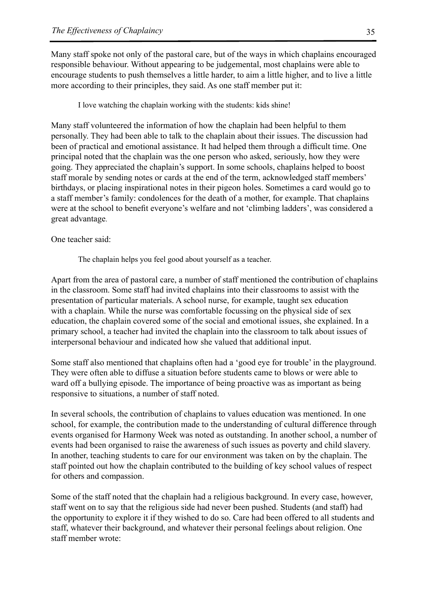Many staff spoke not only of the pastoral care, but of the ways in which chaplains encouraged responsible behaviour. Without appearing to be judgemental, most chaplains were able to encourage students to push themselves a little harder, to aim a little higher, and to live a little more according to their principles, they said. As one staff member put it:

I love watching the chaplain working with the students: kids shine!

Many staff volunteered the information of how the chaplain had been helpful to them personally. They had been able to talk to the chaplain about their issues. The discussion had been of practical and emotional assistance. It had helped them through a difficult time. One principal noted that the chaplain was the one person who asked, seriously, how they were going. They appreciated the chaplain's support. In some schools, chaplains helped to boost staff morale by sending notes or cards at the end of the term, acknowledged staff members' birthdays, or placing inspirational notes in their pigeon holes. Sometimes a card would go to a staff member's family: condolences for the death of a mother, for example. That chaplains were at the school to benefit everyone's welfare and not 'climbing ladders', was considered a great advantage.

One teacher said:

The chaplain helps you feel good about yourself as a teacher.

Apart from the area of pastoral care, a number of staff mentioned the contribution of chaplains in the classroom. Some staff had invited chaplains into their classrooms to assist with the presentation of particular materials. A school nurse, for example, taught sex education with a chaplain. While the nurse was comfortable focussing on the physical side of sex education, the chaplain covered some of the social and emotional issues, she explained. In a primary school, a teacher had invited the chaplain into the classroom to talk about issues of interpersonal behaviour and indicated how she valued that additional input.

Some staff also mentioned that chaplains often had a 'good eye for trouble' in the playground. They were often able to diffuse a situation before students came to blows or were able to ward off a bullying episode. The importance of being proactive was as important as being responsive to situations, a number of staff noted.

In several schools, the contribution of chaplains to values education was mentioned. In one school, for example, the contribution made to the understanding of cultural difference through events organised for Harmony Week was noted as outstanding. In another school, a number of events had been organised to raise the awareness of such issues as poverty and child slavery. In another, teaching students to care for our environment was taken on by the chaplain. The staff pointed out how the chaplain contributed to the building of key school values of respect for others and compassion.

Some of the staff noted that the chaplain had a religious background. In every case, however, staff went on to say that the religious side had never been pushed. Students (and staff) had the opportunity to explore it if they wished to do so. Care had been offered to all students and staff, whatever their background, and whatever their personal feelings about religion. One staff member wrote: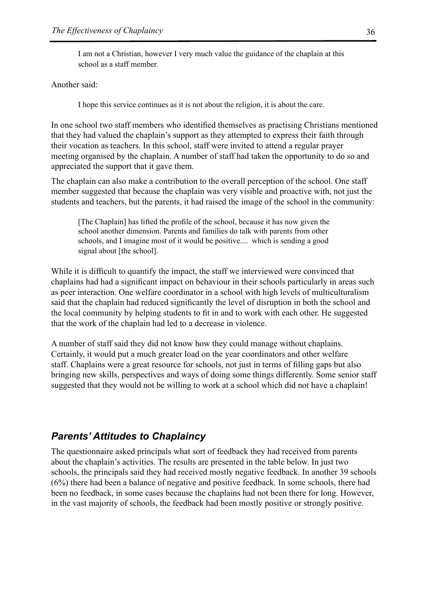I am not a Christian, however I very much value the guidance of the chaplain at this school as a staff member.

#### Another said:

I hope this service continues as it is not about the religion, it is about the care.

In one school two staff members who identified themselves as practising Christians mentioned that they had valued the chaplain's support as they attempted to express their faith through their vocation as teachers. In this school, staff were invited to attend a regular prayer meeting organised by the chaplain. A number of staff had taken the opportunity to do so and appreciated the support that it gave them.

The chaplain can also make a contribution to the overall perception of the school. One staff member suggested that because the chaplain was very visible and proactive with, not just the students and teachers, but the parents, it had raised the image of the school in the community:

[The Chaplain] has lifted the profile of the school, because it has now given the school another dimension. Parents and families do talk with parents from other schools, and I imagine most of it would be positive.... which is sending a good signal about [the school].

While it is difficult to quantify the impact, the staff we interviewed were convinced that chaplains had had a significant impact on behaviour in their schools particularly in areas such as peer interaction. One welfare coordinator in a school with high levels of multiculturalism said that the chaplain had reduced significantly the level of disruption in both the school and the local community by helping students to fit in and to work with each other. He suggested that the work of the chaplain had led to a decrease in violence.

A number of staff said they did not know how they could manage without chaplains. Certainly, it would put a much greater load on the year coordinators and other welfare staff. Chaplains were a great resource for schools, not just in terms of filling gaps but also bringing new skills, perspectives and ways of doing some things differently. Some senior staff suggested that they would not be willing to work at a school which did not have a chaplain!

## *Parents' Attitudes to Chaplaincy*

The questionnaire asked principals what sort of feedback they had received from parents about the chaplain's activities. The results are presented in the table below. In just two schools, the principals said they had received mostly negative feedback. In another 39 schools (6%) there had been a balance of negative and positive feedback. In some schools, there had been no feedback, in some cases because the chaplains had not been there for long. However, in the vast majority of schools, the feedback had been mostly positive or strongly positive.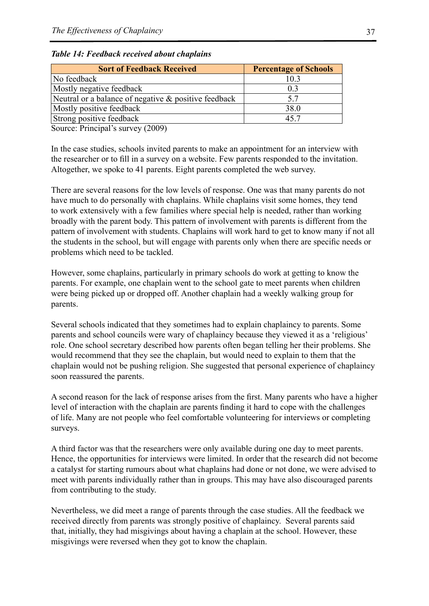| <b>Sort of Feedback Received</b>                     | <b>Percentage of Schools</b> |  |  |  |
|------------------------------------------------------|------------------------------|--|--|--|
| No feedback                                          | 10.3                         |  |  |  |
| Mostly negative feedback                             | 0 <sup>3</sup>               |  |  |  |
| Neutral or a balance of negative & positive feedback | 5.7                          |  |  |  |
| Mostly positive feedback                             | 38.0                         |  |  |  |
| Strong positive feedback                             | 45.7                         |  |  |  |

*Table 14: Feedback received about chaplains*

Source: Principal's survey (2009)

In the case studies, schools invited parents to make an appointment for an interview with the researcher or to fill in a survey on a website. Few parents responded to the invitation. Altogether, we spoke to 41 parents. Eight parents completed the web survey.

There are several reasons for the low levels of response. One was that many parents do not have much to do personally with chaplains. While chaplains visit some homes, they tend to work extensively with a few families where special help is needed, rather than working broadly with the parent body. This pattern of involvement with parents is different from the pattern of involvement with students. Chaplains will work hard to get to know many if not all the students in the school, but will engage with parents only when there are specific needs or problems which need to be tackled.

However, some chaplains, particularly in primary schools do work at getting to know the parents. For example, one chaplain went to the school gate to meet parents when children were being picked up or dropped off. Another chaplain had a weekly walking group for parents.

Several schools indicated that they sometimes had to explain chaplaincy to parents. Some parents and school councils were wary of chaplaincy because they viewed it as a 'religious' role. One school secretary described how parents often began telling her their problems. She would recommend that they see the chaplain, but would need to explain to them that the chaplain would not be pushing religion. She suggested that personal experience of chaplaincy soon reassured the parents.

A second reason for the lack of response arises from the first. Many parents who have a higher level of interaction with the chaplain are parents finding it hard to cope with the challenges of life. Many are not people who feel comfortable volunteering for interviews or completing surveys.

A third factor was that the researchers were only available during one day to meet parents. Hence, the opportunities for interviews were limited. In order that the research did not become a catalyst for starting rumours about what chaplains had done or not done, we were advised to meet with parents individually rather than in groups. This may have also discouraged parents from contributing to the study.

Nevertheless, we did meet a range of parents through the case studies. All the feedback we received directly from parents was strongly positive of chaplaincy. Several parents said that, initially, they had misgivings about having a chaplain at the school. However, these misgivings were reversed when they got to know the chaplain.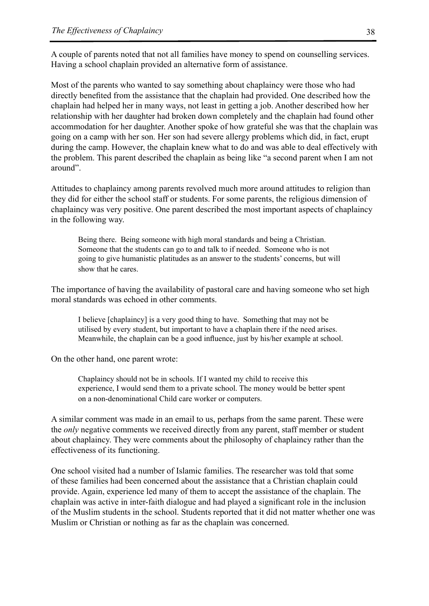A couple of parents noted that not all families have money to spend on counselling services. Having a school chaplain provided an alternative form of assistance.

Most of the parents who wanted to say something about chaplaincy were those who had directly benefited from the assistance that the chaplain had provided. One described how the chaplain had helped her in many ways, not least in getting a job. Another described how her relationship with her daughter had broken down completely and the chaplain had found other accommodation for her daughter. Another spoke of how grateful she was that the chaplain was going on a camp with her son. Her son had severe allergy problems which did, in fact, erupt during the camp. However, the chaplain knew what to do and was able to deal effectively with the problem. This parent described the chaplain as being like "a second parent when I am not around".

Attitudes to chaplaincy among parents revolved much more around attitudes to religion than they did for either the school staff or students. For some parents, the religious dimension of chaplaincy was very positive. One parent described the most important aspects of chaplaincy in the following way.

Being there. Being someone with high moral standards and being a Christian. Someone that the students can go to and talk to if needed. Someone who is not going to give humanistic platitudes as an answer to the students' concerns, but will show that he cares.

The importance of having the availability of pastoral care and having someone who set high moral standards was echoed in other comments.

I believe [chaplaincy] is a very good thing to have. Something that may not be utilised by every student, but important to have a chaplain there if the need arises. Meanwhile, the chaplain can be a good influence, just by his/her example at school.

On the other hand, one parent wrote:

Chaplaincy should not be in schools. If I wanted my child to receive this experience, I would send them to a private school. The money would be better spent on a non-denominational Child care worker or computers.

A similar comment was made in an email to us, perhaps from the same parent. These were the *only* negative comments we received directly from any parent, staff member or student about chaplaincy. They were comments about the philosophy of chaplaincy rather than the effectiveness of its functioning.

One school visited had a number of Islamic families. The researcher was told that some of these families had been concerned about the assistance that a Christian chaplain could provide. Again, experience led many of them to accept the assistance of the chaplain. The chaplain was active in inter-faith dialogue and had played a significant role in the inclusion of the Muslim students in the school. Students reported that it did not matter whether one was Muslim or Christian or nothing as far as the chaplain was concerned.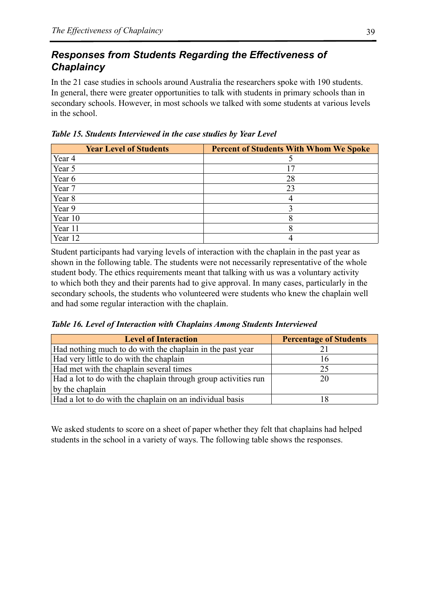# *Responses from Students Regarding the Effectiveness of Chaplaincy*

In the 21 case studies in schools around Australia the researchers spoke with 190 students. In general, there were greater opportunities to talk with students in primary schools than in secondary schools. However, in most schools we talked with some students at various levels in the school.

|  | Table 15. Students Interviewed in the case studies by Year Level |  |  |  |  |
|--|------------------------------------------------------------------|--|--|--|--|
|  |                                                                  |  |  |  |  |

| <b>Year Level of Students</b> | <b>Percent of Students With Whom We Spoke</b> |
|-------------------------------|-----------------------------------------------|
| Year 4                        |                                               |
| Year 5                        |                                               |
| Year 6                        | 28                                            |
| Year 7                        | 23                                            |
| Year 8                        |                                               |
| Year 9                        |                                               |
| Year 10                       |                                               |
| Year 11                       |                                               |
| Year 12                       |                                               |

Student participants had varying levels of interaction with the chaplain in the past year as shown in the following table. The students were not necessarily representative of the whole student body. The ethics requirements meant that talking with us was a voluntary activity to which both they and their parents had to give approval. In many cases, particularly in the secondary schools, the students who volunteered were students who knew the chaplain well and had some regular interaction with the chaplain.

*Table 16. Level of Interaction with Chaplains Among Students Interviewed*

| <b>Level of Interaction</b>                                    | <b>Percentage of Students</b> |
|----------------------------------------------------------------|-------------------------------|
| Had nothing much to do with the chaplain in the past year      |                               |
| Had very little to do with the chaplain                        | 16                            |
| Had met with the chaplain several times                        | 25                            |
| Had a lot to do with the chaplain through group activities run | 20                            |
| by the chaplain                                                |                               |
| Had a lot to do with the chaplain on an individual basis       | 18                            |

We asked students to score on a sheet of paper whether they felt that chaplains had helped students in the school in a variety of ways. The following table shows the responses.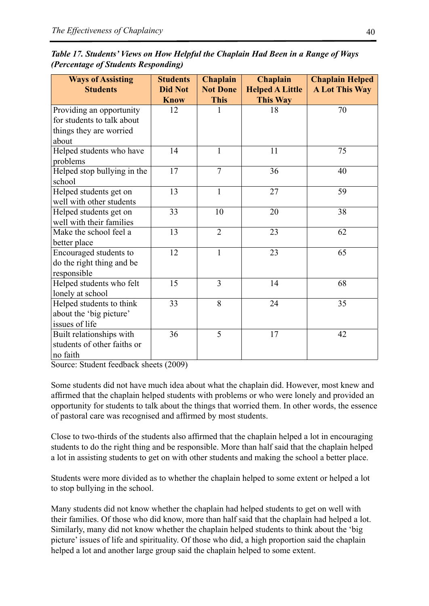| Table 17. Students' Views on How Helpful the Chaplain Had Been in a Range of Ways |  |
|-----------------------------------------------------------------------------------|--|
| (Percentage of Students Responding)                                               |  |

| <b>Ways of Assisting</b>    | Chaplain<br><b>Students</b> |                 | <b>Chaplain</b>        | <b>Chaplain Helped</b> |  |
|-----------------------------|-----------------------------|-----------------|------------------------|------------------------|--|
| <b>Students</b>             | <b>Did Not</b>              | <b>Not Done</b> | <b>Helped A Little</b> | <b>A Lot This Way</b>  |  |
|                             | <b>Know</b>                 | <b>This</b>     | This Way               |                        |  |
| Providing an opportunity    | 12                          | 1               | 18                     | 70                     |  |
| for students to talk about  |                             |                 |                        |                        |  |
| things they are worried     |                             |                 |                        |                        |  |
| about                       |                             |                 |                        |                        |  |
| Helped students who have    | 14                          | 1               | 11                     | 75                     |  |
| problems                    |                             |                 |                        |                        |  |
| Helped stop bullying in the | 17                          | $\overline{7}$  | 36                     | 40                     |  |
| school                      |                             |                 |                        |                        |  |
| Helped students get on      | 13                          | $\mathbf{1}$    | 27                     | 59                     |  |
| well with other students    |                             |                 |                        |                        |  |
| Helped students get on      | 33                          | 10              | 20                     | 38                     |  |
| well with their families    |                             |                 |                        |                        |  |
| Make the school feel a      | 13                          | $\overline{2}$  | 23                     | 62                     |  |
| better place                |                             |                 |                        |                        |  |
| Encouraged students to      | 12                          | $\mathbf{1}$    | 23                     | 65                     |  |
| do the right thing and be   |                             |                 |                        |                        |  |
| responsible                 |                             |                 |                        |                        |  |
| Helped students who felt    | 15                          | 3               | 14                     | 68                     |  |
| lonely at school            |                             |                 |                        |                        |  |
| Helped students to think    | 33                          | $\overline{8}$  | 24                     | 35                     |  |
| about the 'big picture'     |                             |                 |                        |                        |  |
| issues of life              |                             |                 |                        |                        |  |
| Built relationships with    | 36                          | 5               | 17                     | 42                     |  |
| students of other faiths or |                             |                 |                        |                        |  |
| no faith                    |                             |                 |                        |                        |  |

Source: Student feedback sheets (2009)

Some students did not have much idea about what the chaplain did. However, most knew and affirmed that the chaplain helped students with problems or who were lonely and provided an opportunity for students to talk about the things that worried them. In other words, the essence of pastoral care was recognised and affirmed by most students.

Close to two-thirds of the students also affirmed that the chaplain helped a lot in encouraging students to do the right thing and be responsible. More than half said that the chaplain helped a lot in assisting students to get on with other students and making the school a better place.

Students were more divided as to whether the chaplain helped to some extent or helped a lot to stop bullying in the school.

Many students did not know whether the chaplain had helped students to get on well with their families. Of those who did know, more than half said that the chaplain had helped a lot. Similarly, many did not know whether the chaplain helped students to think about the 'big picture' issues of life and spirituality. Of those who did, a high proportion said the chaplain helped a lot and another large group said the chaplain helped to some extent.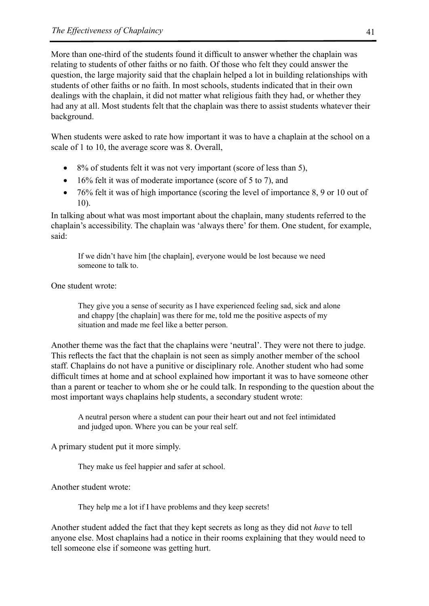More than one-third of the students found it difficult to answer whether the chaplain was relating to students of other faiths or no faith. Of those who felt they could answer the question, the large majority said that the chaplain helped a lot in building relationships with students of other faiths or no faith. In most schools, students indicated that in their own dealings with the chaplain, it did not matter what religious faith they had, or whether they had any at all. Most students felt that the chaplain was there to assist students whatever their background.

When students were asked to rate how important it was to have a chaplain at the school on a scale of 1 to 10, the average score was 8. Overall,

- 8% of students felt it was not very important (score of less than 5),
- 16% felt it was of moderate importance (score of 5 to 7), and
- 76% felt it was of high importance (scoring the level of importance 8, 9 or 10 out of 10).

In talking about what was most important about the chaplain, many students referred to the chaplain's accessibility. The chaplain was 'always there' for them. One student, for example, said:

If we didn't have him [the chaplain], everyone would be lost because we need someone to talk to.

One student wrote:

They give you a sense of security as I have experienced feeling sad, sick and alone and chappy [the chaplain] was there for me, told me the positive aspects of my situation and made me feel like a better person.

Another theme was the fact that the chaplains were 'neutral'. They were not there to judge. This reflects the fact that the chaplain is not seen as simply another member of the school staff. Chaplains do not have a punitive or disciplinary role. Another student who had some difficult times at home and at school explained how important it was to have someone other than a parent or teacher to whom she or he could talk. In responding to the question about the most important ways chaplains help students, a secondary student wrote:

A neutral person where a student can pour their heart out and not feel intimidated and judged upon. Where you can be your real self.

A primary student put it more simply.

They make us feel happier and safer at school.

Another student wrote:

They help me a lot if I have problems and they keep secrets!

Another student added the fact that they kept secrets as long as they did not *have* to tell anyone else. Most chaplains had a notice in their rooms explaining that they would need to tell someone else if someone was getting hurt.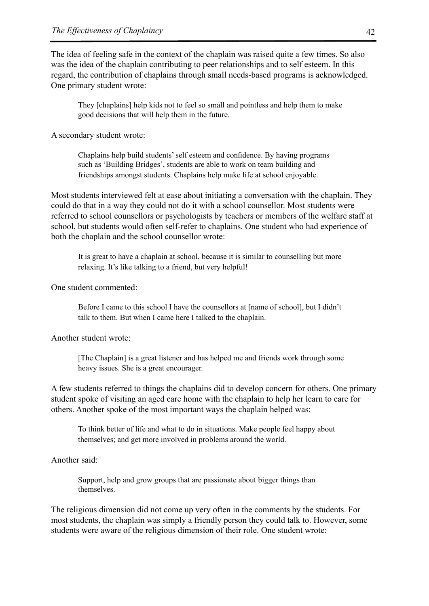The idea of feeling safe in the context of the chaplain was raised quite a few times. So also was the idea of the chaplain contributing to peer relationships and to self esteem. In this regard, the contribution of chaplains through small needs-based programs is acknowledged. One primary student wrote:

They [chaplains] help kids not to feel so small and pointless and help them to make good decisions that will help them in the future.

A secondary student wrote:

Chaplains help build students' self esteem and confidence. By having programs such as 'Building Bridges', students are able to work on team building and friendships amongst students. Chaplains help make life at school enjoyable.

Most students interviewed felt at ease about initiating a conversation with the chaplain. They could do that in a way they could not do it with a school counsellor. Most students were referred to school counsellors or psychologists by teachers or members of the welfare staff at school, but students would often self-refer to chaplains. One student who had experience of both the chaplain and the school counsellor wrote:

It is great to have a chaplain at school, because it is similar to counselling but more relaxing. It's like talking to a friend, but very helpful!

One student commented:

Before I came to this school I have the counsellors at [name of school], but I didn't talk to them. But when I came here I talked to the chaplain.

Another student wrote:

[The Chaplain] is a great listener and has helped me and friends work through some heavy issues. She is a great encourager.

A few students referred to things the chaplains did to develop concern for others. One primary student spoke of visiting an aged care home with the chaplain to help her learn to care for others. Another spoke of the most important ways the chaplain helped was:

To think better of life and what to do in situations. Make people feel happy about themselves; and get more involved in problems around the world.

Another said:

Support, help and grow groups that are passionate about bigger things than themselves.

The religious dimension did not come up very often in the comments by the students. For most students, the chaplain was simply a friendly person they could talk to. However, some students were aware of the religious dimension of their role. One student wrote: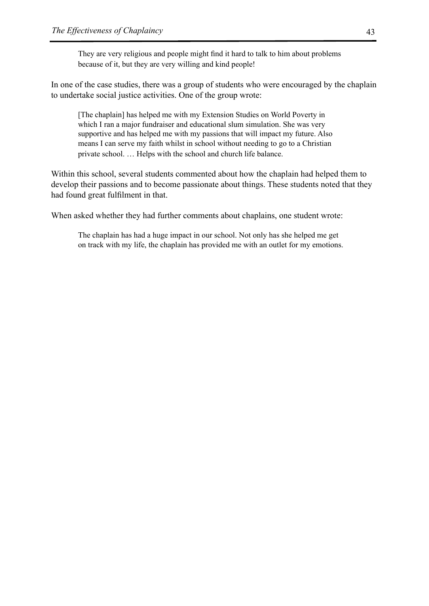They are very religious and people might find it hard to talk to him about problems because of it, but they are very willing and kind people!

In one of the case studies, there was a group of students who were encouraged by the chaplain to undertake social justice activities. One of the group wrote:

[The chaplain] has helped me with my Extension Studies on World Poverty in which I ran a major fundraiser and educational slum simulation. She was very supportive and has helped me with my passions that will impact my future. Also means I can serve my faith whilst in school without needing to go to a Christian private school. … Helps with the school and church life balance.

Within this school, several students commented about how the chaplain had helped them to develop their passions and to become passionate about things. These students noted that they had found great fulfilment in that.

When asked whether they had further comments about chaplains, one student wrote:

The chaplain has had a huge impact in our school. Not only has she helped me get on track with my life, the chaplain has provided me with an outlet for my emotions.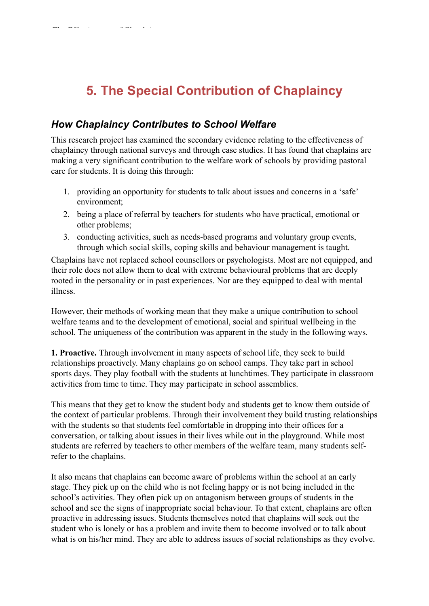# **5. The Special Contribution of Chaplaincy**

*The Effectiveness of Chaplaincy* 44

# *How Chaplaincy Contributes to School Welfare*

This research project has examined the secondary evidence relating to the effectiveness of chaplaincy through national surveys and through case studies. It has found that chaplains are making a very significant contribution to the welfare work of schools by providing pastoral care for students. It is doing this through:

- 1. providing an opportunity for students to talk about issues and concerns in a 'safe' environment;
- 2. being a place of referral by teachers for students who have practical, emotional or other problems;
- 3. conducting activities, such as needs-based programs and voluntary group events, through which social skills, coping skills and behaviour management is taught.

Chaplains have not replaced school counsellors or psychologists. Most are not equipped, and their role does not allow them to deal with extreme behavioural problems that are deeply rooted in the personality or in past experiences. Nor are they equipped to deal with mental illness.

However, their methods of working mean that they make a unique contribution to school welfare teams and to the development of emotional, social and spiritual wellbeing in the school. The uniqueness of the contribution was apparent in the study in the following ways.

**1. Proactive.** Through involvement in many aspects of school life, they seek to build relationships proactively. Many chaplains go on school camps. They take part in school sports days. They play football with the students at lunchtimes. They participate in classroom activities from time to time. They may participate in school assemblies.

This means that they get to know the student body and students get to know them outside of the context of particular problems. Through their involvement they build trusting relationships with the students so that students feel comfortable in dropping into their offices for a conversation, or talking about issues in their lives while out in the playground. While most students are referred by teachers to other members of the welfare team, many students selfrefer to the chaplains.

It also means that chaplains can become aware of problems within the school at an early stage. They pick up on the child who is not feeling happy or is not being included in the school's activities. They often pick up on antagonism between groups of students in the school and see the signs of inappropriate social behaviour. To that extent, chaplains are often proactive in addressing issues. Students themselves noted that chaplains will seek out the student who is lonely or has a problem and invite them to become involved or to talk about what is on his/her mind. They are able to address issues of social relationships as they evolve.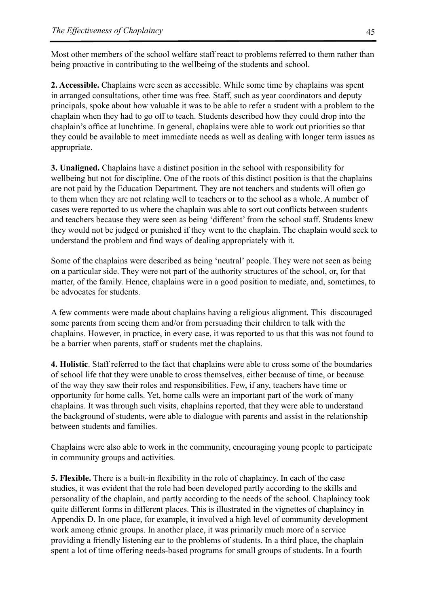Most other members of the school welfare staff react to problems referred to them rather than being proactive in contributing to the wellbeing of the students and school.

**2. Accessible.** Chaplains were seen as accessible. While some time by chaplains was spent in arranged consultations, other time was free. Staff, such as year coordinators and deputy principals, spoke about how valuable it was to be able to refer a student with a problem to the chaplain when they had to go off to teach. Students described how they could drop into the chaplain's office at lunchtime. In general, chaplains were able to work out priorities so that they could be available to meet immediate needs as well as dealing with longer term issues as appropriate.

**3. Unaligned.** Chaplains have a distinct position in the school with responsibility for wellbeing but not for discipline. One of the roots of this distinct position is that the chaplains are not paid by the Education Department. They are not teachers and students will often go to them when they are not relating well to teachers or to the school as a whole. A number of cases were reported to us where the chaplain was able to sort out conflicts between students and teachers because they were seen as being 'different' from the school staff. Students knew they would not be judged or punished if they went to the chaplain. The chaplain would seek to understand the problem and find ways of dealing appropriately with it.

Some of the chaplains were described as being 'neutral' people. They were not seen as being on a particular side. They were not part of the authority structures of the school, or, for that matter, of the family. Hence, chaplains were in a good position to mediate, and, sometimes, to be advocates for students.

A few comments were made about chaplains having a religious alignment. This discouraged some parents from seeing them and/or from persuading their children to talk with the chaplains. However, in practice, in every case, it was reported to us that this was not found to be a barrier when parents, staff or students met the chaplains.

**4. Holistic**. Staff referred to the fact that chaplains were able to cross some of the boundaries of school life that they were unable to cross themselves, either because of time, or because of the way they saw their roles and responsibilities. Few, if any, teachers have time or opportunity for home calls. Yet, home calls were an important part of the work of many chaplains. It was through such visits, chaplains reported, that they were able to understand the background of students, were able to dialogue with parents and assist in the relationship between students and families.

Chaplains were also able to work in the community, encouraging young people to participate in community groups and activities.

**5. Flexible.** There is a built-in flexibility in the role of chaplaincy. In each of the case studies, it was evident that the role had been developed partly according to the skills and personality of the chaplain, and partly according to the needs of the school. Chaplaincy took quite different forms in different places. This is illustrated in the vignettes of chaplaincy in Appendix D. In one place, for example, it involved a high level of community development work among ethnic groups. In another place, it was primarily much more of a service providing a friendly listening ear to the problems of students. In a third place, the chaplain spent a lot of time offering needs-based programs for small groups of students. In a fourth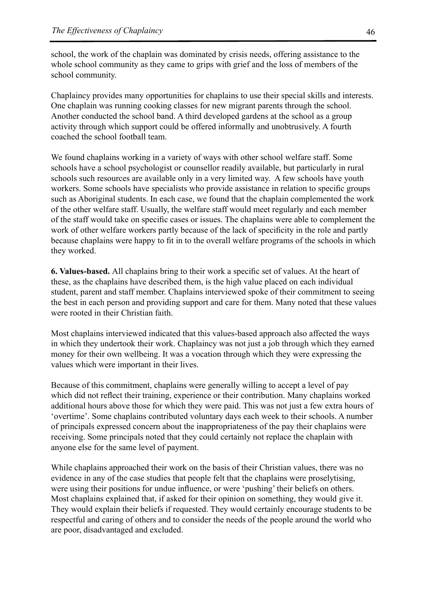school, the work of the chaplain was dominated by crisis needs, offering assistance to the whole school community as they came to grips with grief and the loss of members of the school community.

Chaplaincy provides many opportunities for chaplains to use their special skills and interests. One chaplain was running cooking classes for new migrant parents through the school. Another conducted the school band. A third developed gardens at the school as a group activity through which support could be offered informally and unobtrusively. A fourth coached the school football team.

We found chaplains working in a variety of ways with other school welfare staff. Some schools have a school psychologist or counsellor readily available, but particularly in rural schools such resources are available only in a very limited way. A few schools have youth workers. Some schools have specialists who provide assistance in relation to specific groups such as Aboriginal students. In each case, we found that the chaplain complemented the work of the other welfare staff. Usually, the welfare staff would meet regularly and each member of the staff would take on specific cases or issues. The chaplains were able to complement the work of other welfare workers partly because of the lack of specificity in the role and partly because chaplains were happy to fit in to the overall welfare programs of the schools in which they worked.

**6. Values-based.** All chaplains bring to their work a specific set of values. At the heart of these, as the chaplains have described them, is the high value placed on each individual student, parent and staff member. Chaplains interviewed spoke of their commitment to seeing the best in each person and providing support and care for them. Many noted that these values were rooted in their Christian faith.

Most chaplains interviewed indicated that this values-based approach also affected the ways in which they undertook their work. Chaplaincy was not just a job through which they earned money for their own wellbeing. It was a vocation through which they were expressing the values which were important in their lives.

Because of this commitment, chaplains were generally willing to accept a level of pay which did not reflect their training, experience or their contribution. Many chaplains worked additional hours above those for which they were paid. This was not just a few extra hours of 'overtime'. Some chaplains contributed voluntary days each week to their schools. A number of principals expressed concern about the inappropriateness of the pay their chaplains were receiving. Some principals noted that they could certainly not replace the chaplain with anyone else for the same level of payment.

While chaplains approached their work on the basis of their Christian values, there was no evidence in any of the case studies that people felt that the chaplains were proselytising, were using their positions for undue influence, or were 'pushing' their beliefs on others. Most chaplains explained that, if asked for their opinion on something, they would give it. They would explain their beliefs if requested. They would certainly encourage students to be respectful and caring of others and to consider the needs of the people around the world who are poor, disadvantaged and excluded.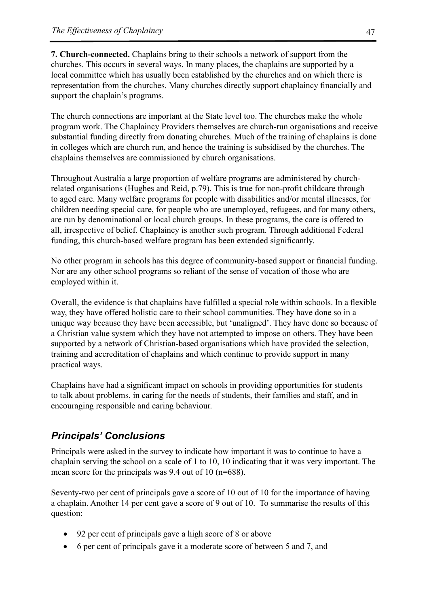**7. Church-connected.** Chaplains bring to their schools a network of support from the churches. This occurs in several ways. In many places, the chaplains are supported by a local committee which has usually been established by the churches and on which there is representation from the churches. Many churches directly support chaplaincy financially and support the chaplain's programs.

The church connections are important at the State level too. The churches make the whole program work. The Chaplaincy Providers themselves are church-run organisations and receive substantial funding directly from donating churches. Much of the training of chaplains is done in colleges which are church run, and hence the training is subsidised by the churches. The chaplains themselves are commissioned by church organisations.

Throughout Australia a large proportion of welfare programs are administered by churchrelated organisations (Hughes and Reid, p.79). This is true for non-profit childcare through to aged care. Many welfare programs for people with disabilities and/or mental illnesses, for children needing special care, for people who are unemployed, refugees, and for many others, are run by denominational or local church groups. In these programs, the care is offered to all, irrespective of belief. Chaplaincy is another such program. Through additional Federal funding, this church-based welfare program has been extended significantly.

No other program in schools has this degree of community-based support or financial funding. Nor are any other school programs so reliant of the sense of vocation of those who are employed within it.

Overall, the evidence is that chaplains have fulfilled a special role within schools. In a flexible way, they have offered holistic care to their school communities. They have done so in a unique way because they have been accessible, but 'unaligned'. They have done so because of a Christian value system which they have not attempted to impose on others. They have been supported by a network of Christian-based organisations which have provided the selection, training and accreditation of chaplains and which continue to provide support in many practical ways.

Chaplains have had a significant impact on schools in providing opportunities for students to talk about problems, in caring for the needs of students, their families and staff, and in encouraging responsible and caring behaviour.

# *Principals' Conclusions*

Principals were asked in the survey to indicate how important it was to continue to have a chaplain serving the school on a scale of 1 to 10, 10 indicating that it was very important. The mean score for the principals was 9.4 out of 10 (n=688).

Seventy-two per cent of principals gave a score of 10 out of 10 for the importance of having a chaplain. Another 14 per cent gave a score of 9 out of 10. To summarise the results of this question:

- 92 per cent of principals gave a high score of 8 or above
- 6 per cent of principals gave it a moderate score of between 5 and 7, and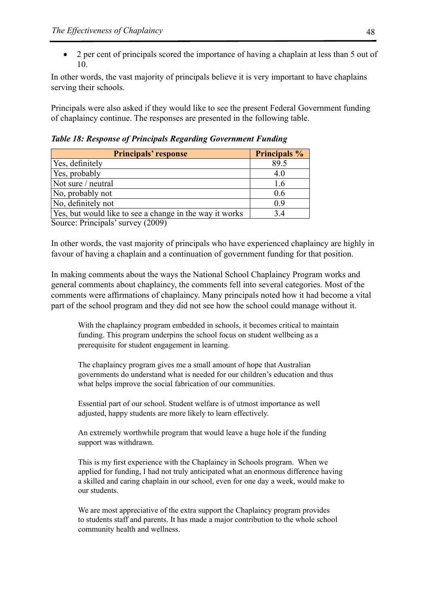• 2 per cent of principals scored the importance of having a chaplain at less than 5 out of 10.

In other words, the vast majority of principals believe it is very important to have chaplains serving their schools.

Principals were also asked if they would like to see the present Federal Government funding of chaplaincy continue. The responses are presented in the following table.

*Table 18: Response of Principals Regarding Government Funding*

| <b>Principals' response</b>                             | <b>Principals %</b> |  |  |
|---------------------------------------------------------|---------------------|--|--|
| Yes, definitely                                         | 89.5                |  |  |
| Yes, probably                                           | 4.0                 |  |  |
| Not sure / neutral                                      | 1.6                 |  |  |
| No, probably not                                        | 0.6                 |  |  |
| No, definitely not                                      | 0.9                 |  |  |
| Yes, but would like to see a change in the way it works | 3.4                 |  |  |

Source: Principals' survey (2009)

In other words, the vast majority of principals who have experienced chaplaincy are highly in favour of having a chaplain and a continuation of government funding for that position.

In making comments about the ways the National School Chaplaincy Program works and general comments about chaplaincy, the comments fell into several categories. Most of the comments were affirmations of chaplaincy. Many principals noted how it had become a vital part of the school program and they did not see how the school could manage without it.

With the chaplaincy program embedded in schools, it becomes critical to maintain funding. This program underpins the school focus on student wellbeing as a prerequisite for student engagement in learning.

The chaplaincy program gives me a small amount of hope that Australian governments do understand what is needed for our children's education and thus what helps improve the social fabrication of our communities.

Essential part of our school. Student welfare is of utmost importance as well adjusted, happy students are more likely to learn effectively.

An extremely worthwhile program that would leave a huge hole if the funding support was withdrawn.

This is my first experience with the Chaplaincy in Schools program. When we applied for funding, I had not truly anticipated what an enormous difference having a skilled and caring chaplain in our school, even for one day a week, would make to our students.

We are most appreciative of the extra support the Chaplaincy program provides to students staff and parents. It has made a major contribution to the whole school community health and wellness.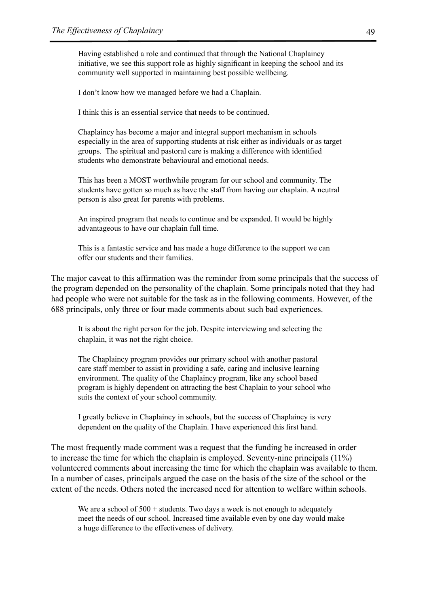Having established a role and continued that through the National Chaplaincy initiative, we see this support role as highly significant in keeping the school and its community well supported in maintaining best possible wellbeing.

I don't know how we managed before we had a Chaplain.

I think this is an essential service that needs to be continued.

Chaplaincy has become a major and integral support mechanism in schools especially in the area of supporting students at risk either as individuals or as target groups. The spiritual and pastoral care is making a difference with identified students who demonstrate behavioural and emotional needs.

This has been a MOST worthwhile program for our school and community. The students have gotten so much as have the staff from having our chaplain. A neutral person is also great for parents with problems.

An inspired program that needs to continue and be expanded. It would be highly advantageous to have our chaplain full time.

This is a fantastic service and has made a huge difference to the support we can offer our students and their families.

The major caveat to this affirmation was the reminder from some principals that the success of the program depended on the personality of the chaplain. Some principals noted that they had had people who were not suitable for the task as in the following comments. However, of the 688 principals, only three or four made comments about such bad experiences.

It is about the right person for the job. Despite interviewing and selecting the chaplain, it was not the right choice.

The Chaplaincy program provides our primary school with another pastoral care staff member to assist in providing a safe, caring and inclusive learning environment. The quality of the Chaplaincy program, like any school based program is highly dependent on attracting the best Chaplain to your school who suits the context of your school community.

I greatly believe in Chaplaincy in schools, but the success of Chaplaincy is very dependent on the quality of the Chaplain. I have experienced this first hand.

The most frequently made comment was a request that the funding be increased in order to increase the time for which the chaplain is employed. Seventy-nine principals (11%) volunteered comments about increasing the time for which the chaplain was available to them. In a number of cases, principals argued the case on the basis of the size of the school or the extent of the needs. Others noted the increased need for attention to welfare within schools.

We are a school of  $500 +$  students. Two days a week is not enough to adequately meet the needs of our school. Increased time available even by one day would make a huge difference to the effectiveness of delivery.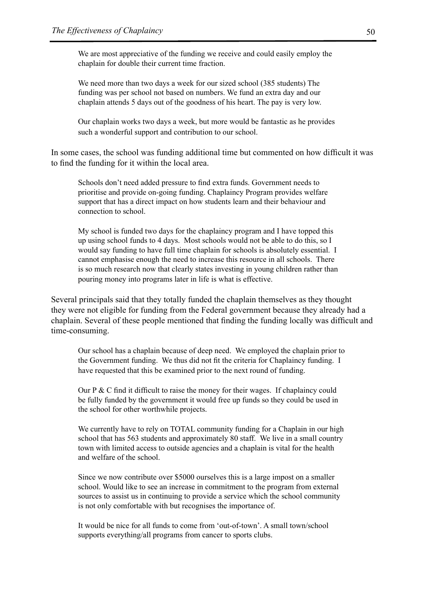We are most appreciative of the funding we receive and could easily employ the chaplain for double their current time fraction.

We need more than two days a week for our sized school (385 students) The funding was per school not based on numbers. We fund an extra day and our chaplain attends 5 days out of the goodness of his heart. The pay is very low.

Our chaplain works two days a week, but more would be fantastic as he provides such a wonderful support and contribution to our school.

In some cases, the school was funding additional time but commented on how difficult it was to find the funding for it within the local area.

Schools don't need added pressure to find extra funds. Government needs to prioritise and provide on-going funding. Chaplaincy Program provides welfare support that has a direct impact on how students learn and their behaviour and connection to school.

My school is funded two days for the chaplaincy program and I have topped this up using school funds to 4 days. Most schools would not be able to do this, so I would say funding to have full time chaplain for schools is absolutely essential. I cannot emphasise enough the need to increase this resource in all schools. There is so much research now that clearly states investing in young children rather than pouring money into programs later in life is what is effective.

Several principals said that they totally funded the chaplain themselves as they thought they were not eligible for funding from the Federal government because they already had a chaplain. Several of these people mentioned that finding the funding locally was difficult and time-consuming.

Our school has a chaplain because of deep need. We employed the chaplain prior to the Government funding. We thus did not fit the criteria for Chaplaincy funding. I have requested that this be examined prior to the next round of funding.

Our P & C find it difficult to raise the money for their wages. If chaplaincy could be fully funded by the government it would free up funds so they could be used in the school for other worthwhile projects.

We currently have to rely on TOTAL community funding for a Chaplain in our high school that has 563 students and approximately 80 staff. We live in a small country town with limited access to outside agencies and a chaplain is vital for the health and welfare of the school.

Since we now contribute over \$5000 ourselves this is a large impost on a smaller school. Would like to see an increase in commitment to the program from external sources to assist us in continuing to provide a service which the school community is not only comfortable with but recognises the importance of.

It would be nice for all funds to come from 'out-of-town'. A small town/school supports everything/all programs from cancer to sports clubs.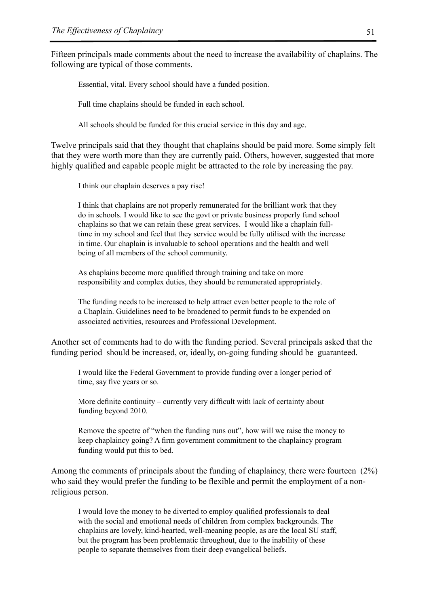Fifteen principals made comments about the need to increase the availability of chaplains. The following are typical of those comments.

Essential, vital. Every school should have a funded position.

Full time chaplains should be funded in each school.

All schools should be funded for this crucial service in this day and age.

Twelve principals said that they thought that chaplains should be paid more. Some simply felt that they were worth more than they are currently paid. Others, however, suggested that more highly qualified and capable people might be attracted to the role by increasing the pay.

I think our chaplain deserves a pay rise!

I think that chaplains are not properly remunerated for the brilliant work that they do in schools. I would like to see the govt or private business properly fund school chaplains so that we can retain these great services. I would like a chaplain fulltime in my school and feel that they service would be fully utilised with the increase in time. Our chaplain is invaluable to school operations and the health and well being of all members of the school community.

As chaplains become more qualified through training and take on more responsibility and complex duties, they should be remunerated appropriately.

The funding needs to be increased to help attract even better people to the role of a Chaplain. Guidelines need to be broadened to permit funds to be expended on associated activities, resources and Professional Development.

Another set of comments had to do with the funding period. Several principals asked that the funding period should be increased, or, ideally, on-going funding should be guaranteed.

I would like the Federal Government to provide funding over a longer period of time, say five years or so.

More definite continuity – currently very difficult with lack of certainty about funding beyond 2010.

Remove the spectre of "when the funding runs out", how will we raise the money to keep chaplaincy going? A firm government commitment to the chaplaincy program funding would put this to bed.

Among the comments of principals about the funding of chaplaincy, there were fourteen (2%) who said they would prefer the funding to be flexible and permit the employment of a nonreligious person.

I would love the money to be diverted to employ qualified professionals to deal with the social and emotional needs of children from complex backgrounds. The chaplains are lovely, kind-hearted, well-meaning people, as are the local SU staff, but the program has been problematic throughout, due to the inability of these people to separate themselves from their deep evangelical beliefs.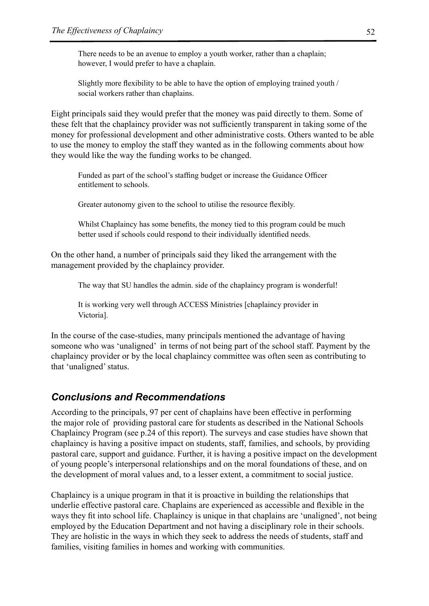There needs to be an avenue to employ a youth worker, rather than a chaplain; however, I would prefer to have a chaplain.

Slightly more flexibility to be able to have the option of employing trained youth / social workers rather than chaplains.

Eight principals said they would prefer that the money was paid directly to them. Some of these felt that the chaplaincy provider was not sufficiently transparent in taking some of the money for professional development and other administrative costs. Others wanted to be able to use the money to employ the staff they wanted as in the following comments about how they would like the way the funding works to be changed.

Funded as part of the school's staffing budget or increase the Guidance Officer entitlement to schools.

Greater autonomy given to the school to utilise the resource flexibly.

Whilst Chaplaincy has some benefits, the money tied to this program could be much better used if schools could respond to their individually identified needs.

On the other hand, a number of principals said they liked the arrangement with the management provided by the chaplaincy provider.

The way that SU handles the admin. side of the chaplaincy program is wonderful!

It is working very well through ACCESS Ministries [chaplaincy provider in Victoria].

In the course of the case-studies, many principals mentioned the advantage of having someone who was 'unaligned' in terms of not being part of the school staff. Payment by the chaplaincy provider or by the local chaplaincy committee was often seen as contributing to that 'unaligned' status.

## *Conclusions and Recommendations*

According to the principals, 97 per cent of chaplains have been effective in performing the major role of providing pastoral care for students as described in the National Schools Chaplaincy Program (see p.24 of this report). The surveys and case studies have shown that chaplaincy is having a positive impact on students, staff, families, and schools, by providing pastoral care, support and guidance. Further, it is having a positive impact on the development of young people's interpersonal relationships and on the moral foundations of these, and on the development of moral values and, to a lesser extent, a commitment to social justice.

Chaplaincy is a unique program in that it is proactive in building the relationships that underlie effective pastoral care. Chaplains are experienced as accessible and flexible in the ways they fit into school life. Chaplaincy is unique in that chaplains are 'unaligned', not being employed by the Education Department and not having a disciplinary role in their schools. They are holistic in the ways in which they seek to address the needs of students, staff and families, visiting families in homes and working with communities.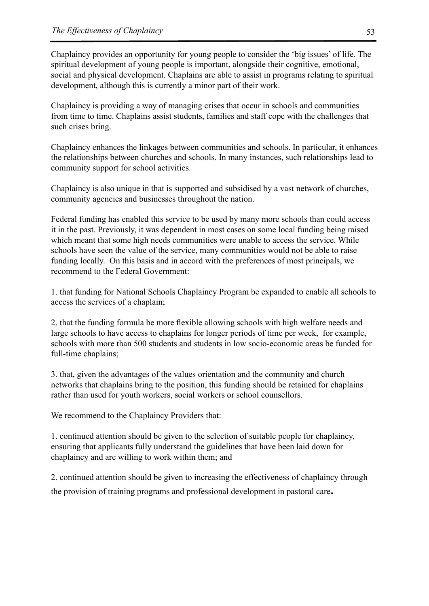Chaplaincy provides an opportunity for young people to consider the 'big issues' of life. The spiritual development of young people is important, alongside their cognitive, emotional, social and physical development. Chaplains are able to assist in programs relating to spiritual development, although this is currently a minor part of their work.

Chaplaincy is providing a way of managing crises that occur in schools and communities from time to time. Chaplains assist students, families and staff cope with the challenges that such crises bring.

Chaplaincy enhances the linkages between communities and schools. In particular, it enhances the relationships between churches and schools. In many instances, such relationships lead to community support for school activities.

Chaplaincy is also unique in that is supported and subsidised by a vast network of churches, community agencies and businesses throughout the nation.

Federal funding has enabled this service to be used by many more schools than could access it in the past. Previously, it was dependent in most cases on some local funding being raised which meant that some high needs communities were unable to access the service. While schools have seen the value of the service, many communities would not be able to raise funding locally. On this basis and in accord with the preferences of most principals, we recommend to the Federal Government:

1. that funding for National Schools Chaplaincy Program be expanded to enable all schools to access the services of a chaplain;

2. that the funding formula be more flexible allowing schools with high welfare needs and large schools to have access to chaplains for longer periods of time per week, for example, schools with more than 500 students and students in low socio-economic areas be funded for full-time chaplains;

3. that, given the advantages of the values orientation and the community and church networks that chaplains bring to the position, this funding should be retained for chaplains rather than used for youth workers, social workers or school counsellors.

We recommend to the Chaplaincy Providers that:

1. continued attention should be given to the selection of suitable people for chaplaincy, ensuring that applicants fully understand the guidelines that have been laid down for chaplaincy and are willing to work within them; and

2. continued attention should be given to increasing the effectiveness of chaplaincy through the provision of training programs and professional development in pastoral care**.**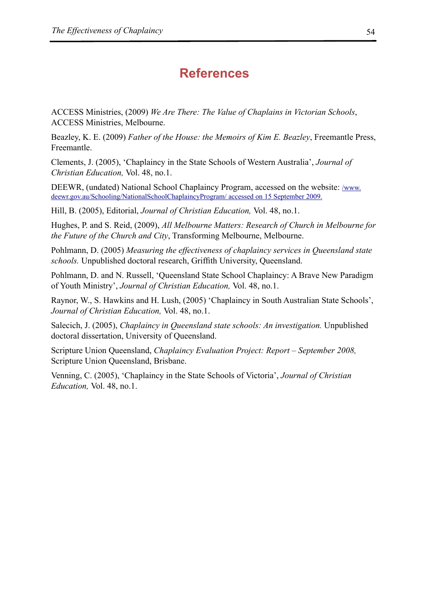# **References**

ACCESS Ministries, (2009) *We Are There: The Value of Chaplains in Victorian Schools*, ACCESS Ministries, Melbourne.

Beazley, K. E. (2009) *Father of the House: the Memoirs of Kim E. Beazley*, Freemantle Press, Freemantle.

Clements, J. (2005), 'Chaplaincy in the State Schools of Western Australia', *Journal of Christian Education,* Vol. 48, no.1.

DEEWR, (undated) National School Chaplaincy Program, accessed on the website: /www. deewr.gov.au/Schooling/NationalSchoolChaplaincyProgram/ accessed on 15 September 2009.

Hill, B. (2005), Editorial, *Journal of Christian Education,* Vol. 48, no.1.

Hughes, P. and S. Reid, (2009), *All Melbourne Matters: Research of Church in Melbourne for the Future of the Church and City*, Transforming Melbourne, Melbourne.

Pohlmann, D. (2005) *Measuring the effectiveness of chaplaincy services in Queensland state schools.* Unpublished doctoral research, Griffith University, Queensland.

Pohlmann, D. and N. Russell, 'Queensland State School Chaplaincy: A Brave New Paradigm of Youth Ministry', *Journal of Christian Education,* Vol. 48, no.1.

Raynor, W., S. Hawkins and H. Lush, (2005) 'Chaplaincy in South Australian State Schools', *Journal of Christian Education,* Vol. 48, no.1.

Salecich, J. (2005), *Chaplaincy in Queensland state schools: An investigation*. Unpublished doctoral dissertation, University of Queensland.

Scripture Union Queensland, *Chaplaincy Evaluation Project: Report – September 2008,* Scripture Union Queensland, Brisbane.

Venning, C. (2005), 'Chaplaincy in the State Schools of Victoria', *Journal of Christian Education,* Vol. 48, no.1.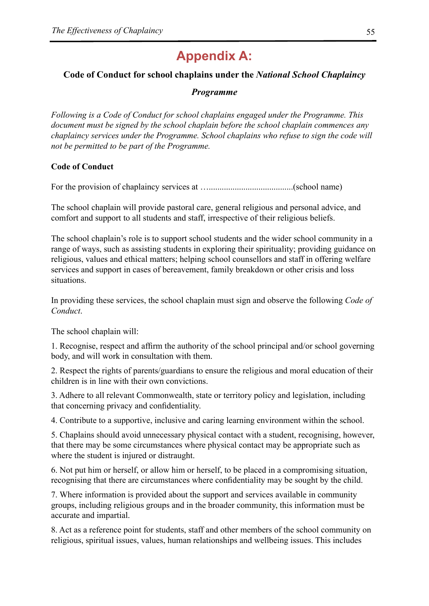# **Appendix A:**

### **Code of Conduct for school chaplains under the** *National School Chaplaincy*

#### *Programme*

*Following is a Code of Conduct for school chaplains engaged under the Programme. This document must be signed by the school chaplain before the school chaplain commences any chaplaincy services under the Programme. School chaplains who refuse to sign the code will not be permitted to be part of the Programme.*

#### **Code of Conduct**

For the provision of chaplaincy services at ….......................................(school name)

The school chaplain will provide pastoral care, general religious and personal advice, and comfort and support to all students and staff, irrespective of their religious beliefs.

The school chaplain's role is to support school students and the wider school community in a range of ways, such as assisting students in exploring their spirituality; providing guidance on religious, values and ethical matters; helping school counsellors and staff in offering welfare services and support in cases of bereavement, family breakdown or other crisis and loss situations.

In providing these services, the school chaplain must sign and observe the following *Code of Conduct*.

The school chaplain will:

1. Recognise, respect and affirm the authority of the school principal and/or school governing body, and will work in consultation with them.

2. Respect the rights of parents/guardians to ensure the religious and moral education of their children is in line with their own convictions.

3. Adhere to all relevant Commonwealth, state or territory policy and legislation, including that concerning privacy and confidentiality.

4. Contribute to a supportive, inclusive and caring learning environment within the school.

5. Chaplains should avoid unnecessary physical contact with a student, recognising, however, that there may be some circumstances where physical contact may be appropriate such as where the student is injured or distraught.

6. Not put him or herself, or allow him or herself, to be placed in a compromising situation, recognising that there are circumstances where confidentiality may be sought by the child.

7. Where information is provided about the support and services available in community groups, including religious groups and in the broader community, this information must be accurate and impartial.

8. Act as a reference point for students, staff and other members of the school community on religious, spiritual issues, values, human relationships and wellbeing issues. This includes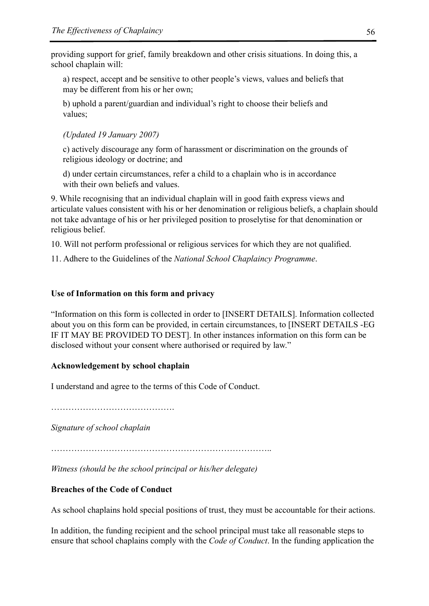providing support for grief, family breakdown and other crisis situations. In doing this, a school chaplain will:

a) respect, accept and be sensitive to other people's views, values and beliefs that may be different from his or her own;

b) uphold a parent/guardian and individual's right to choose their beliefs and values;

*(Updated 19 January 2007)*

c) actively discourage any form of harassment or discrimination on the grounds of religious ideology or doctrine; and

d) under certain circumstances, refer a child to a chaplain who is in accordance with their own beliefs and values.

9. While recognising that an individual chaplain will in good faith express views and articulate values consistent with his or her denomination or religious beliefs, a chaplain should not take advantage of his or her privileged position to proselytise for that denomination or religious belief.

10. Will not perform professional or religious services for which they are not qualified.

11. Adhere to the Guidelines of the *National School Chaplaincy Programme*.

#### **Use of Information on this form and privacy**

"Information on this form is collected in order to [INSERT DETAILS]. Information collected about you on this form can be provided, in certain circumstances, to [INSERT DETAILS -EG IF IT MAY BE PROVIDED TO DEST]. In other instances information on this form can be disclosed without your consent where authorised or required by law."

#### **Acknowledgement by school chaplain**

I understand and agree to the terms of this Code of Conduct.

…………………………………….

*Signature of school chaplain*

*Witness (should be the school principal or his/her delegate)*

#### **Breaches of the Code of Conduct**

As school chaplains hold special positions of trust, they must be accountable for their actions.

In addition, the funding recipient and the school principal must take all reasonable steps to ensure that school chaplains comply with the *Code of Conduct*. In the funding application the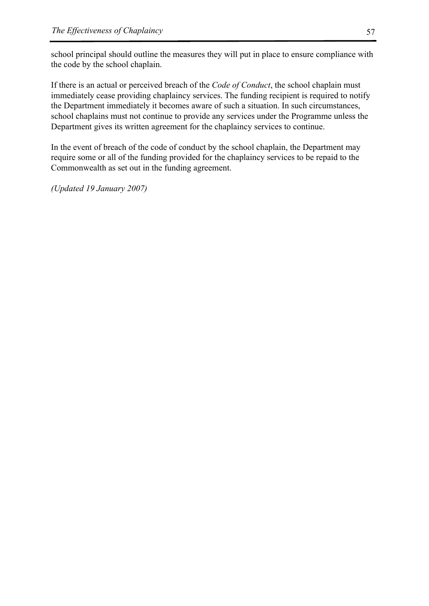school principal should outline the measures they will put in place to ensure compliance with the code by the school chaplain.

If there is an actual or perceived breach of the *Code of Conduct*, the school chaplain must immediately cease providing chaplaincy services. The funding recipient is required to notify the Department immediately it becomes aware of such a situation. In such circumstances, school chaplains must not continue to provide any services under the Programme unless the Department gives its written agreement for the chaplaincy services to continue.

In the event of breach of the code of conduct by the school chaplain, the Department may require some or all of the funding provided for the chaplaincy services to be repaid to the Commonwealth as set out in the funding agreement.

*(Updated 19 January 2007)*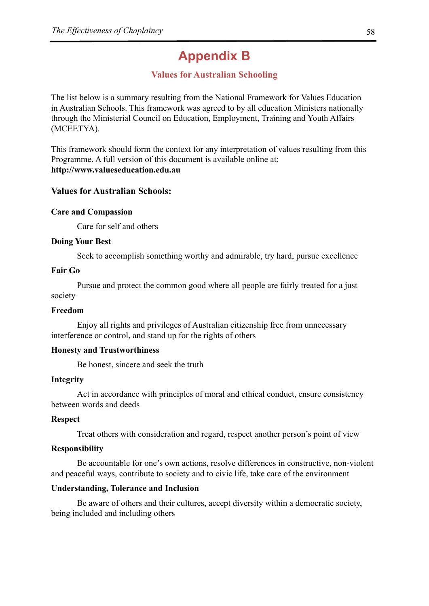# **Appendix B**

## **Values for Australian Schooling**

The list below is a summary resulting from the National Framework for Values Education in Australian Schools. This framework was agreed to by all education Ministers nationally through the Ministerial Council on Education, Employment, Training and Youth Affairs (MCEETYA).

This framework should form the context for any interpretation of values resulting from this Programme. A full version of this document is available online at: **http://www.valueseducation.edu.au**

#### **Values for Australian Schools:**

#### **Care and Compassion**

Care for self and others

#### **Doing Your Best**

Seek to accomplish something worthy and admirable, try hard, pursue excellence

#### **Fair Go**

Pursue and protect the common good where all people are fairly treated for a just society

#### **Freedom**

Enjoy all rights and privileges of Australian citizenship free from unnecessary interference or control, and stand up for the rights of others

#### **Honesty and Trustworthiness**

Be honest, sincere and seek the truth

#### **Integrity**

Act in accordance with principles of moral and ethical conduct, ensure consistency between words and deeds

#### **Respect**

Treat others with consideration and regard, respect another person's point of view

#### **Responsibility**

Be accountable for one's own actions, resolve differences in constructive, non-violent and peaceful ways, contribute to society and to civic life, take care of the environment

#### **Understanding, Tolerance and Inclusion**

Be aware of others and their cultures, accept diversity within a democratic society, being included and including others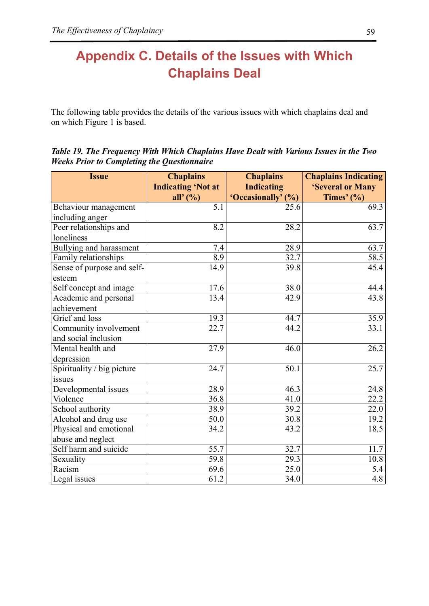# **Appendix C. Details of the Issues with Which Chaplains Deal**

The following table provides the details of the various issues with which chaplains deal and on which Figure 1 is based.

*Table 19. The Frequency With Which Chaplains Have Dealt with Various Issues in the Two Weeks Prior to Completing the Questionnaire* 

| <b>Issue</b>               | <b>Chaplains</b>          | <b>Chaplains</b>   | <b>Chaplains Indicating</b> |  |
|----------------------------|---------------------------|--------------------|-----------------------------|--|
|                            | <b>Indicating 'Not at</b> | <b>Indicating</b>  | 'Several or Many            |  |
|                            | all' $(%)$                | 'Occasionally' (%) | Times' $(\% )$              |  |
| Behaviour management       | 5.1                       | 25.6               | 69.3                        |  |
| including anger            |                           |                    |                             |  |
| Peer relationships and     | 8.2                       | 28.2               | 63.7                        |  |
| loneliness                 |                           |                    |                             |  |
| Bullying and harassment    | 7.4                       | 28.9               | 63.7                        |  |
| Family relationships       | 8.9                       | 32.7               | 58.5                        |  |
| Sense of purpose and self- | 14.9                      | 39.8               | 45.4                        |  |
| esteem                     |                           |                    |                             |  |
| Self concept and image     | 17.6                      | 38.0               | 44.4                        |  |
| Academic and personal      | 13.4                      | 42.9               | 43.8                        |  |
| achievement                |                           |                    |                             |  |
| Grief and loss             | 19.3                      | 44.7               | 35.9                        |  |
| Community involvement      | 22.7                      | 44.2               | 33.1                        |  |
| and social inclusion       |                           |                    |                             |  |
| Mental health and          | 27.9                      | 46.0               | 26.2                        |  |
| depression                 |                           |                    |                             |  |
| Spirituality / big picture | 24.7                      | 50.1               | 25.7                        |  |
| issues                     |                           |                    |                             |  |
| Developmental issues       | 28.9                      | 46.3               | 24.8                        |  |
| Violence                   | 36.8                      | 41.0               | 22.2                        |  |
| School authority           | 38.9                      | 39.2               | 22.0                        |  |
| Alcohol and drug use       | 50.0                      | 30.8               | 19.2                        |  |
| Physical and emotional     | 34.2                      | 43.2               | 18.5                        |  |
| abuse and neglect          |                           |                    |                             |  |
| Self harm and suicide      | 55.7                      | 32.7               | 11.7                        |  |
| Sexuality                  | 59.8                      | 29.3               | 10.8                        |  |
| Racism                     | 69.6                      | 25.0               | 5.4                         |  |
| Legal issues               | 61.2                      | 34.0               | 4.8                         |  |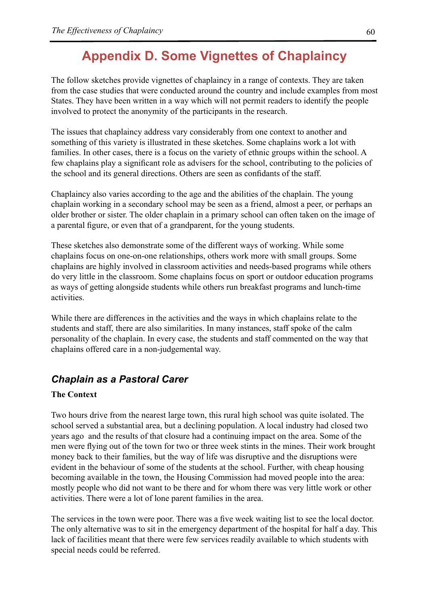# **Appendix D. Some Vignettes of Chaplaincy**

The follow sketches provide vignettes of chaplaincy in a range of contexts. They are taken from the case studies that were conducted around the country and include examples from most States. They have been written in a way which will not permit readers to identify the people involved to protect the anonymity of the participants in the research.

The issues that chaplaincy address vary considerably from one context to another and something of this variety is illustrated in these sketches. Some chaplains work a lot with families. In other cases, there is a focus on the variety of ethnic groups within the school. A few chaplains play a significant role as advisers for the school, contributing to the policies of the school and its general directions. Others are seen as confidants of the staff.

Chaplaincy also varies according to the age and the abilities of the chaplain. The young chaplain working in a secondary school may be seen as a friend, almost a peer, or perhaps an older brother or sister. The older chaplain in a primary school can often taken on the image of a parental figure, or even that of a grandparent, for the young students.

These sketches also demonstrate some of the different ways of working. While some chaplains focus on one-on-one relationships, others work more with small groups. Some chaplains are highly involved in classroom activities and needs-based programs while others do very little in the classroom. Some chaplains focus on sport or outdoor education programs as ways of getting alongside students while others run breakfast programs and lunch-time activities.

While there are differences in the activities and the ways in which chaplains relate to the students and staff, there are also similarities. In many instances, staff spoke of the calm personality of the chaplain. In every case, the students and staff commented on the way that chaplains offered care in a non-judgemental way.

# *Chaplain as a Pastoral Carer*

#### **The Context**

Two hours drive from the nearest large town, this rural high school was quite isolated. The school served a substantial area, but a declining population. A local industry had closed two years ago and the results of that closure had a continuing impact on the area. Some of the men were flying out of the town for two or three week stints in the mines. Their work brought money back to their families, but the way of life was disruptive and the disruptions were evident in the behaviour of some of the students at the school. Further, with cheap housing becoming available in the town, the Housing Commission had moved people into the area: mostly people who did not want to be there and for whom there was very little work or other activities. There were a lot of lone parent families in the area.

The services in the town were poor. There was a five week waiting list to see the local doctor. The only alternative was to sit in the emergency department of the hospital for half a day. This lack of facilities meant that there were few services readily available to which students with special needs could be referred.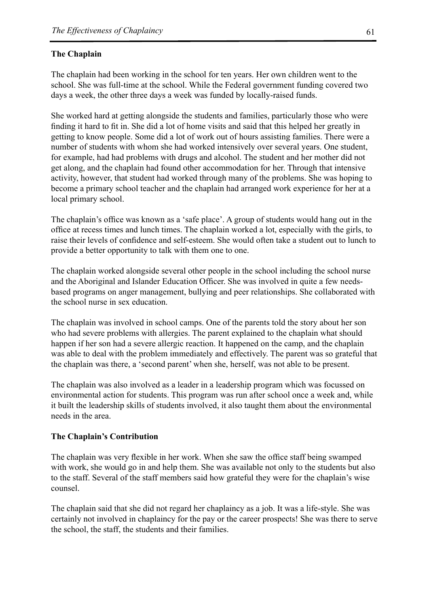#### **The Chaplain**

The chaplain had been working in the school for ten years. Her own children went to the school. She was full-time at the school. While the Federal government funding covered two days a week, the other three days a week was funded by locally-raised funds.

She worked hard at getting alongside the students and families, particularly those who were finding it hard to fit in. She did a lot of home visits and said that this helped her greatly in getting to know people. Some did a lot of work out of hours assisting families. There were a number of students with whom she had worked intensively over several years. One student, for example, had had problems with drugs and alcohol. The student and her mother did not get along, and the chaplain had found other accommodation for her. Through that intensive activity, however, that student had worked through many of the problems. She was hoping to become a primary school teacher and the chaplain had arranged work experience for her at a local primary school.

The chaplain's office was known as a 'safe place'. A group of students would hang out in the office at recess times and lunch times. The chaplain worked a lot, especially with the girls, to raise their levels of confidence and self-esteem. She would often take a student out to lunch to provide a better opportunity to talk with them one to one.

The chaplain worked alongside several other people in the school including the school nurse and the Aboriginal and Islander Education Officer. She was involved in quite a few needsbased programs on anger management, bullying and peer relationships. She collaborated with the school nurse in sex education.

The chaplain was involved in school camps. One of the parents told the story about her son who had severe problems with allergies. The parent explained to the chaplain what should happen if her son had a severe allergic reaction. It happened on the camp, and the chaplain was able to deal with the problem immediately and effectively. The parent was so grateful that the chaplain was there, a 'second parent' when she, herself, was not able to be present.

The chaplain was also involved as a leader in a leadership program which was focussed on environmental action for students. This program was run after school once a week and, while it built the leadership skills of students involved, it also taught them about the environmental needs in the area.

#### **The Chaplain's Contribution**

The chaplain was very flexible in her work. When she saw the office staff being swamped with work, she would go in and help them. She was available not only to the students but also to the staff. Several of the staff members said how grateful they were for the chaplain's wise counsel.

The chaplain said that she did not regard her chaplaincy as a job. It was a life-style. She was certainly not involved in chaplaincy for the pay or the career prospects! She was there to serve the school, the staff, the students and their families.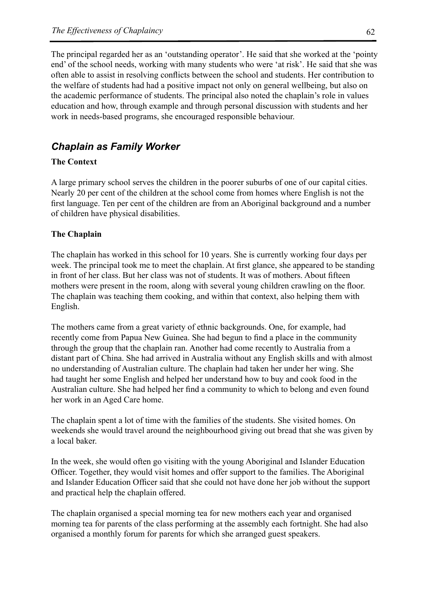The principal regarded her as an 'outstanding operator'. He said that she worked at the 'pointy end' of the school needs, working with many students who were 'at risk'. He said that she was often able to assist in resolving conflicts between the school and students. Her contribution to the welfare of students had had a positive impact not only on general wellbeing, but also on the academic performance of students. The principal also noted the chaplain's role in values education and how, through example and through personal discussion with students and her work in needs-based programs, she encouraged responsible behaviour.

## *Chaplain as Family Worker*

#### **The Context**

A large primary school serves the children in the poorer suburbs of one of our capital cities. Nearly 20 per cent of the children at the school come from homes where English is not the first language. Ten per cent of the children are from an Aboriginal background and a number of children have physical disabilities.

#### **The Chaplain**

The chaplain has worked in this school for 10 years. She is currently working four days per week. The principal took me to meet the chaplain. At first glance, she appeared to be standing in front of her class. But her class was not of students. It was of mothers. About fifteen mothers were present in the room, along with several young children crawling on the floor. The chaplain was teaching them cooking, and within that context, also helping them with English.

The mothers came from a great variety of ethnic backgrounds. One, for example, had recently come from Papua New Guinea. She had begun to find a place in the community through the group that the chaplain ran. Another had come recently to Australia from a distant part of China. She had arrived in Australia without any English skills and with almost no understanding of Australian culture. The chaplain had taken her under her wing. She had taught her some English and helped her understand how to buy and cook food in the Australian culture. She had helped her find a community to which to belong and even found her work in an Aged Care home.

The chaplain spent a lot of time with the families of the students. She visited homes. On weekends she would travel around the neighbourhood giving out bread that she was given by a local baker.

In the week, she would often go visiting with the young Aboriginal and Islander Education Officer. Together, they would visit homes and offer support to the families. The Aboriginal and Islander Education Officer said that she could not have done her job without the support and practical help the chaplain offered.

The chaplain organised a special morning tea for new mothers each year and organised morning tea for parents of the class performing at the assembly each fortnight. She had also organised a monthly forum for parents for which she arranged guest speakers.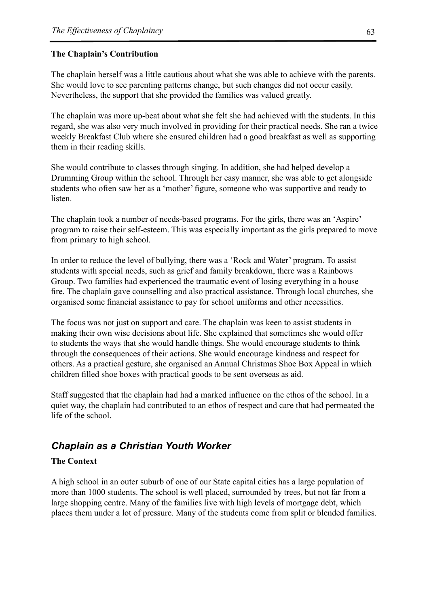#### **The Chaplain's Contribution**

The chaplain herself was a little cautious about what she was able to achieve with the parents. She would love to see parenting patterns change, but such changes did not occur easily. Nevertheless, the support that she provided the families was valued greatly.

The chaplain was more up-beat about what she felt she had achieved with the students. In this regard, she was also very much involved in providing for their practical needs. She ran a twice weekly Breakfast Club where she ensured children had a good breakfast as well as supporting them in their reading skills.

She would contribute to classes through singing. In addition, she had helped develop a Drumming Group within the school. Through her easy manner, she was able to get alongside students who often saw her as a 'mother' figure, someone who was supportive and ready to listen.

The chaplain took a number of needs-based programs. For the girls, there was an 'Aspire' program to raise their self-esteem. This was especially important as the girls prepared to move from primary to high school.

In order to reduce the level of bullying, there was a 'Rock and Water' program. To assist students with special needs, such as grief and family breakdown, there was a Rainbows Group. Two families had experienced the traumatic event of losing everything in a house fire. The chaplain gave counselling and also practical assistance. Through local churches, she organised some financial assistance to pay for school uniforms and other necessities.

The focus was not just on support and care. The chaplain was keen to assist students in making their own wise decisions about life. She explained that sometimes she would offer to students the ways that she would handle things. She would encourage students to think through the consequences of their actions. She would encourage kindness and respect for others. As a practical gesture, she organised an Annual Christmas Shoe Box Appeal in which children filled shoe boxes with practical goods to be sent overseas as aid.

Staff suggested that the chaplain had had a marked influence on the ethos of the school. In a quiet way, the chaplain had contributed to an ethos of respect and care that had permeated the life of the school.

# *Chaplain as a Christian Youth Worker*

#### **The Context**

A high school in an outer suburb of one of our State capital cities has a large population of more than 1000 students. The school is well placed, surrounded by trees, but not far from a large shopping centre. Many of the families live with high levels of mortgage debt, which places them under a lot of pressure. Many of the students come from split or blended families.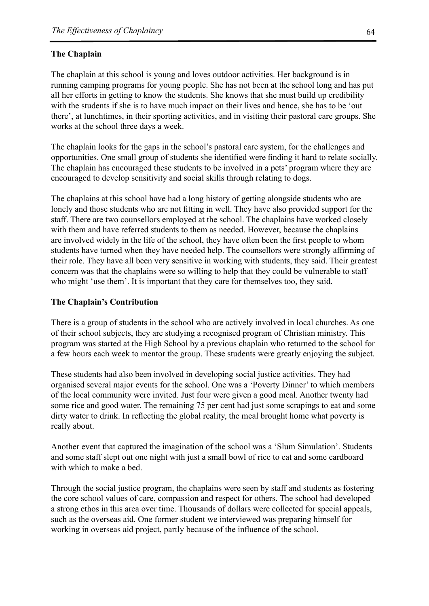#### **The Chaplain**

The chaplain at this school is young and loves outdoor activities. Her background is in running camping programs for young people. She has not been at the school long and has put all her efforts in getting to know the students. She knows that she must build up credibility with the students if she is to have much impact on their lives and hence, she has to be 'out there', at lunchtimes, in their sporting activities, and in visiting their pastoral care groups. She works at the school three days a week.

The chaplain looks for the gaps in the school's pastoral care system, for the challenges and opportunities. One small group of students she identified were finding it hard to relate socially. The chaplain has encouraged these students to be involved in a pets' program where they are encouraged to develop sensitivity and social skills through relating to dogs.

The chaplains at this school have had a long history of getting alongside students who are lonely and those students who are not fitting in well. They have also provided support for the staff. There are two counsellors employed at the school. The chaplains have worked closely with them and have referred students to them as needed. However, because the chaplains are involved widely in the life of the school, they have often been the first people to whom students have turned when they have needed help. The counsellors were strongly affirming of their role. They have all been very sensitive in working with students, they said. Their greatest concern was that the chaplains were so willing to help that they could be vulnerable to staff who might 'use them'. It is important that they care for themselves too, they said.

#### **The Chaplain's Contribution**

There is a group of students in the school who are actively involved in local churches. As one of their school subjects, they are studying a recognised program of Christian ministry. This program was started at the High School by a previous chaplain who returned to the school for a few hours each week to mentor the group. These students were greatly enjoying the subject.

These students had also been involved in developing social justice activities. They had organised several major events for the school. One was a 'Poverty Dinner' to which members of the local community were invited. Just four were given a good meal. Another twenty had some rice and good water. The remaining 75 per cent had just some scrapings to eat and some dirty water to drink. In reflecting the global reality, the meal brought home what poverty is really about.

Another event that captured the imagination of the school was a 'Slum Simulation'. Students and some staff slept out one night with just a small bowl of rice to eat and some cardboard with which to make a bed.

Through the social justice program, the chaplains were seen by staff and students as fostering the core school values of care, compassion and respect for others. The school had developed a strong ethos in this area over time. Thousands of dollars were collected for special appeals, such as the overseas aid. One former student we interviewed was preparing himself for working in overseas aid project, partly because of the influence of the school.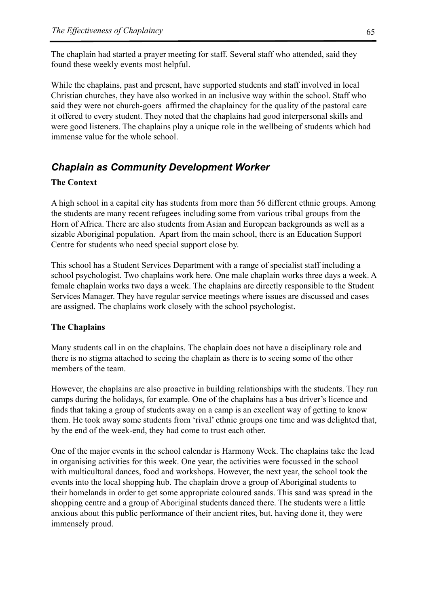The chaplain had started a prayer meeting for staff. Several staff who attended, said they found these weekly events most helpful.

While the chaplains, past and present, have supported students and staff involved in local Christian churches, they have also worked in an inclusive way within the school. Staff who said they were not church-goers affirmed the chaplaincy for the quality of the pastoral care it offered to every student. They noted that the chaplains had good interpersonal skills and were good listeners. The chaplains play a unique role in the wellbeing of students which had immense value for the whole school.

# *Chaplain as Community Development Worker*

#### **The Context**

A high school in a capital city has students from more than 56 different ethnic groups. Among the students are many recent refugees including some from various tribal groups from the Horn of Africa. There are also students from Asian and European backgrounds as well as a sizable Aboriginal population. Apart from the main school, there is an Education Support Centre for students who need special support close by.

This school has a Student Services Department with a range of specialist staff including a school psychologist. Two chaplains work here. One male chaplain works three days a week. A female chaplain works two days a week. The chaplains are directly responsible to the Student Services Manager. They have regular service meetings where issues are discussed and cases are assigned. The chaplains work closely with the school psychologist.

#### **The Chaplains**

Many students call in on the chaplains. The chaplain does not have a disciplinary role and there is no stigma attached to seeing the chaplain as there is to seeing some of the other members of the team.

However, the chaplains are also proactive in building relationships with the students. They run camps during the holidays, for example. One of the chaplains has a bus driver's licence and finds that taking a group of students away on a camp is an excellent way of getting to know them. He took away some students from 'rival' ethnic groups one time and was delighted that, by the end of the week-end, they had come to trust each other.

One of the major events in the school calendar is Harmony Week. The chaplains take the lead in organising activities for this week. One year, the activities were focussed in the school with multicultural dances, food and workshops. However, the next year, the school took the events into the local shopping hub. The chaplain drove a group of Aboriginal students to their homelands in order to get some appropriate coloured sands. This sand was spread in the shopping centre and a group of Aboriginal students danced there. The students were a little anxious about this public performance of their ancient rites, but, having done it, they were immensely proud.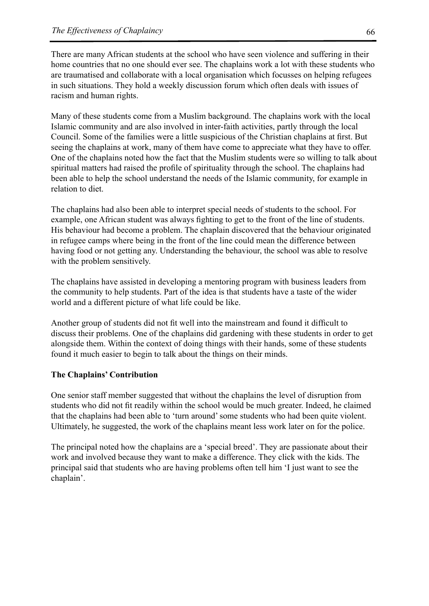There are many African students at the school who have seen violence and suffering in their home countries that no one should ever see. The chaplains work a lot with these students who are traumatised and collaborate with a local organisation which focusses on helping refugees in such situations. They hold a weekly discussion forum which often deals with issues of racism and human rights.

Many of these students come from a Muslim background. The chaplains work with the local Islamic community and are also involved in inter-faith activities, partly through the local Council. Some of the families were a little suspicious of the Christian chaplains at first. But seeing the chaplains at work, many of them have come to appreciate what they have to offer. One of the chaplains noted how the fact that the Muslim students were so willing to talk about spiritual matters had raised the profile of spirituality through the school. The chaplains had been able to help the school understand the needs of the Islamic community, for example in relation to diet.

The chaplains had also been able to interpret special needs of students to the school. For example, one African student was always fighting to get to the front of the line of students. His behaviour had become a problem. The chaplain discovered that the behaviour originated in refugee camps where being in the front of the line could mean the difference between having food or not getting any. Understanding the behaviour, the school was able to resolve with the problem sensitively.

The chaplains have assisted in developing a mentoring program with business leaders from the community to help students. Part of the idea is that students have a taste of the wider world and a different picture of what life could be like.

Another group of students did not fit well into the mainstream and found it difficult to discuss their problems. One of the chaplains did gardening with these students in order to get alongside them. Within the context of doing things with their hands, some of these students found it much easier to begin to talk about the things on their minds.

#### **The Chaplains' Contribution**

One senior staff member suggested that without the chaplains the level of disruption from students who did not fit readily within the school would be much greater. Indeed, he claimed that the chaplains had been able to 'turn around' some students who had been quite violent. Ultimately, he suggested, the work of the chaplains meant less work later on for the police.

The principal noted how the chaplains are a 'special breed'. They are passionate about their work and involved because they want to make a difference. They click with the kids. The principal said that students who are having problems often tell him 'I just want to see the chaplain'.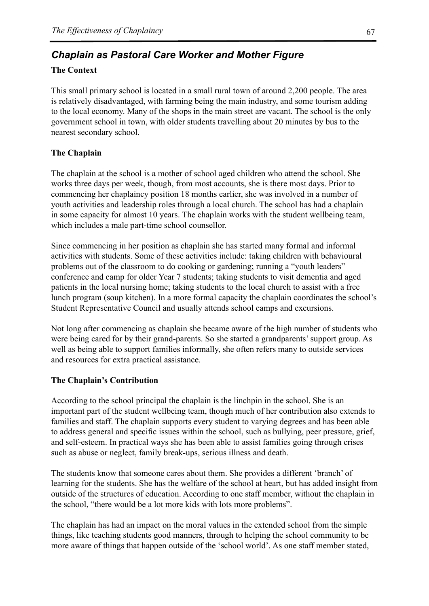# *Chaplain as Pastoral Care Worker and Mother Figure*

#### **The Context**

This small primary school is located in a small rural town of around 2,200 people. The area is relatively disadvantaged, with farming being the main industry, and some tourism adding to the local economy. Many of the shops in the main street are vacant. The school is the only government school in town, with older students travelling about 20 minutes by bus to the nearest secondary school.

#### **The Chaplain**

The chaplain at the school is a mother of school aged children who attend the school. She works three days per week, though, from most accounts, she is there most days. Prior to commencing her chaplaincy position 18 months earlier, she was involved in a number of youth activities and leadership roles through a local church. The school has had a chaplain in some capacity for almost 10 years. The chaplain works with the student wellbeing team, which includes a male part-time school counsellor.

Since commencing in her position as chaplain she has started many formal and informal activities with students. Some of these activities include: taking children with behavioural problems out of the classroom to do cooking or gardening; running a "youth leaders" conference and camp for older Year 7 students; taking students to visit dementia and aged patients in the local nursing home; taking students to the local church to assist with a free lunch program (soup kitchen). In a more formal capacity the chaplain coordinates the school's Student Representative Council and usually attends school camps and excursions.

Not long after commencing as chaplain she became aware of the high number of students who were being cared for by their grand-parents. So she started a grandparents' support group. As well as being able to support families informally, she often refers many to outside services and resources for extra practical assistance.

#### **The Chaplain's Contribution**

According to the school principal the chaplain is the linchpin in the school. She is an important part of the student wellbeing team, though much of her contribution also extends to families and staff. The chaplain supports every student to varying degrees and has been able to address general and specific issues within the school, such as bullying, peer pressure, grief, and self-esteem. In practical ways she has been able to assist families going through crises such as abuse or neglect, family break-ups, serious illness and death.

The students know that someone cares about them. She provides a different 'branch' of learning for the students. She has the welfare of the school at heart, but has added insight from outside of the structures of education. According to one staff member, without the chaplain in the school, "there would be a lot more kids with lots more problems".

The chaplain has had an impact on the moral values in the extended school from the simple things, like teaching students good manners, through to helping the school community to be more aware of things that happen outside of the 'school world'. As one staff member stated,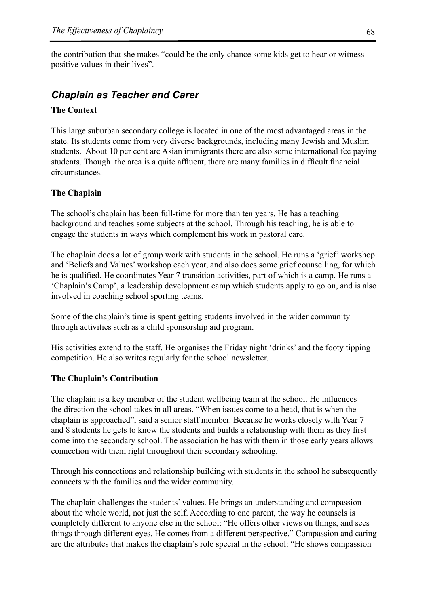the contribution that she makes "could be the only chance some kids get to hear or witness positive values in their lives".

## *Chaplain as Teacher and Carer*

#### **The Context**

This large suburban secondary college is located in one of the most advantaged areas in the state. Its students come from very diverse backgrounds, including many Jewish and Muslim students. About 10 per cent are Asian immigrants there are also some international fee paying students. Though the area is a quite affluent, there are many families in difficult financial circumstances.

#### **The Chaplain**

The school's chaplain has been full-time for more than ten years. He has a teaching background and teaches some subjects at the school. Through his teaching, he is able to engage the students in ways which complement his work in pastoral care.

The chaplain does a lot of group work with students in the school. He runs a 'grief' workshop and 'Beliefs and Values' workshop each year, and also does some grief counselling, for which he is qualified. He coordinates Year 7 transition activities, part of which is a camp. He runs a 'Chaplain's Camp', a leadership development camp which students apply to go on, and is also involved in coaching school sporting teams.

Some of the chaplain's time is spent getting students involved in the wider community through activities such as a child sponsorship aid program.

His activities extend to the staff. He organises the Friday night 'drinks' and the footy tipping competition. He also writes regularly for the school newsletter.

#### **The Chaplain's Contribution**

The chaplain is a key member of the student wellbeing team at the school. He influences the direction the school takes in all areas. "When issues come to a head, that is when the chaplain is approached", said a senior staff member. Because he works closely with Year 7 and 8 students he gets to know the students and builds a relationship with them as they first come into the secondary school. The association he has with them in those early years allows connection with them right throughout their secondary schooling.

Through his connections and relationship building with students in the school he subsequently connects with the families and the wider community.

The chaplain challenges the students' values. He brings an understanding and compassion about the whole world, not just the self. According to one parent, the way he counsels is completely different to anyone else in the school: "He offers other views on things, and sees things through different eyes. He comes from a different perspective." Compassion and caring are the attributes that makes the chaplain's role special in the school: "He shows compassion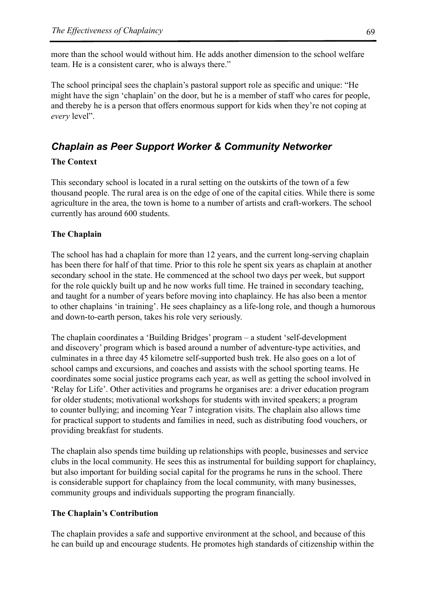more than the school would without him. He adds another dimension to the school welfare team. He is a consistent carer, who is always there."

The school principal sees the chaplain's pastoral support role as specific and unique: "He might have the sign 'chaplain' on the door, but he is a member of staff who cares for people, and thereby he is a person that offers enormous support for kids when they're not coping at *every* level".

## *Chaplain as Peer Support Worker & Community Networker*

#### **The Context**

This secondary school is located in a rural setting on the outskirts of the town of a few thousand people. The rural area is on the edge of one of the capital cities. While there is some agriculture in the area, the town is home to a number of artists and craft-workers. The school currently has around 600 students.

#### **The Chaplain**

The school has had a chaplain for more than 12 years, and the current long-serving chaplain has been there for half of that time. Prior to this role he spent six years as chaplain at another secondary school in the state. He commenced at the school two days per week, but support for the role quickly built up and he now works full time. He trained in secondary teaching, and taught for a number of years before moving into chaplaincy. He has also been a mentor to other chaplains 'in training'. He sees chaplaincy as a life-long role, and though a humorous and down-to-earth person, takes his role very seriously.

The chaplain coordinates a 'Building Bridges' program – a student 'self-development and discovery' program which is based around a number of adventure-type activities, and culminates in a three day 45 kilometre self-supported bush trek. He also goes on a lot of school camps and excursions, and coaches and assists with the school sporting teams. He coordinates some social justice programs each year, as well as getting the school involved in 'Relay for Life'. Other activities and programs he organises are: a driver education program for older students; motivational workshops for students with invited speakers; a program to counter bullying; and incoming Year 7 integration visits. The chaplain also allows time for practical support to students and families in need, such as distributing food vouchers, or providing breakfast for students.

The chaplain also spends time building up relationships with people, businesses and service clubs in the local community. He sees this as instrumental for building support for chaplaincy, but also important for building social capital for the programs he runs in the school. There is considerable support for chaplaincy from the local community, with many businesses, community groups and individuals supporting the program financially.

#### **The Chaplain's Contribution**

The chaplain provides a safe and supportive environment at the school, and because of this he can build up and encourage students. He promotes high standards of citizenship within the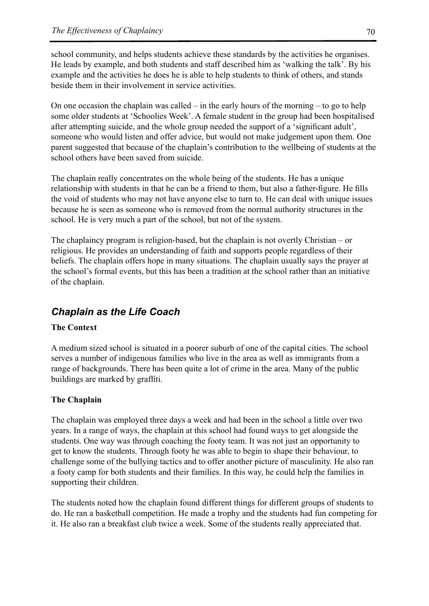school community, and helps students achieve these standards by the activities he organises. He leads by example, and both students and staff described him as 'walking the talk'. By his example and the activities he does he is able to help students to think of others, and stands beside them in their involvement in service activities.

On one occasion the chaplain was called – in the early hours of the morning – to go to help some older students at 'Schoolies Week'. A female student in the group had been hospitalised after attempting suicide, and the whole group needed the support of a 'significant adult', someone who would listen and offer advice, but would not make judgement upon them. One parent suggested that because of the chaplain's contribution to the wellbeing of students at the school others have been saved from suicide.

The chaplain really concentrates on the whole being of the students. He has a unique relationship with students in that he can be a friend to them, but also a father-figure. He fills the void of students who may not have anyone else to turn to. He can deal with unique issues because he is seen as someone who is removed from the normal authority structures in the school. He is very much a part of the school, but not of the system.

The chaplaincy program is religion-based, but the chaplain is not overtly Christian – or religious. He provides an understanding of faith and supports people regardless of their beliefs. The chaplain offers hope in many situations. The chaplain usually says the prayer at the school's formal events, but this has been a tradition at the school rather than an initiative of the chaplain.

# *Chaplain as the Life Coach*

#### **The Context**

A medium sized school is situated in a poorer suburb of one of the capital cities. The school serves a number of indigenous families who live in the area as well as immigrants from a range of backgrounds. There has been quite a lot of crime in the area. Many of the public buildings are marked by graffiti.

#### **The Chaplain**

The chaplain was employed three days a week and had been in the school a little over two years. In a range of ways, the chaplain at this school had found ways to get alongside the students. One way was through coaching the footy team. It was not just an opportunity to get to know the students. Through footy he was able to begin to shape their behaviour, to challenge some of the bullying tactics and to offer another picture of masculinity. He also ran a footy camp for both students and their families. In this way, he could help the families in supporting their children.

The students noted how the chaplain found different things for different groups of students to do. He ran a basketball competition. He made a trophy and the students had fun competing for it. He also ran a breakfast club twice a week. Some of the students really appreciated that.